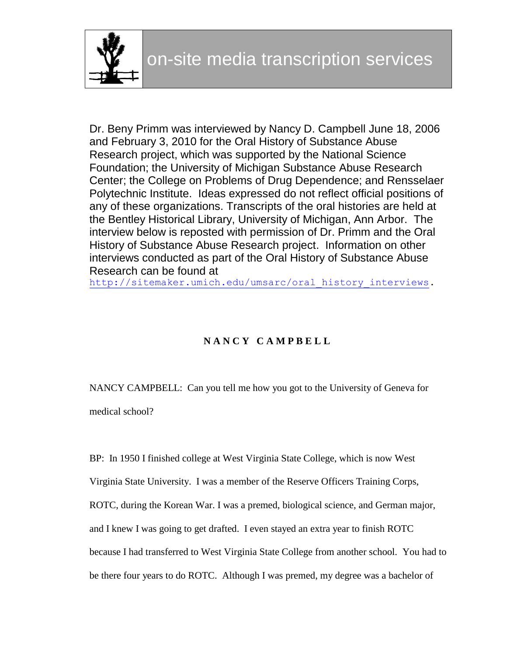

Dr. Beny Primm was interviewed by Nancy D. Campbell June 18, 2006 and February 3, 2010 for the Oral History of Substance Abuse Research project, which was supported by the National Science Foundation; the University of Michigan Substance Abuse Research Center; the College on Problems of Drug Dependence; and Rensselaer Polytechnic Institute. Ideas expressed do not reflect official positions of any of these organizations. Transcripts of the oral histories are held at the Bentley Historical Library, University of Michigan, Ann Arbor. The interview below is reposted with permission of Dr. Primm and the Oral History of Substance Abuse Research project. Information on other interviews conducted as part of the Oral History of Substance Abuse Research can be found at

http://sitemaker.umich.edu/umsarc/oral history interviews.

# **N A N C Y C A M P B E L L**

NANCY CAMPBELL: Can you tell me how you got to the University of Geneva for medical school?

BP: In 1950 I finished college at West Virginia State College, which is now West Virginia State University. I was a member of the Reserve Officers Training Corps, ROTC, during the Korean War. I was a premed, biological science, and German major, and I knew I was going to get drafted. I even stayed an extra year to finish ROTC because I had transferred to West Virginia State College from another school. You had to be there four years to do ROTC. Although I was premed, my degree was a bachelor of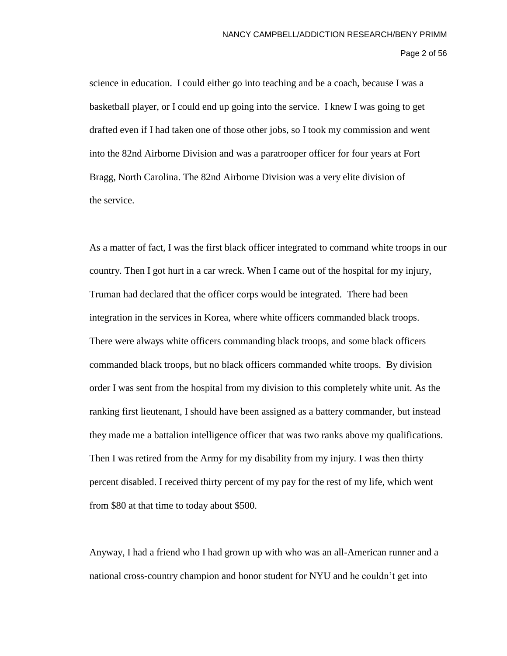Page 2 of 56

science in education. I could either go into teaching and be a coach, because I was a basketball player, or I could end up going into the service. I knew I was going to get drafted even if I had taken one of those other jobs, so I took my commission and went into the 82nd Airborne Division and was a paratrooper officer for four years at Fort Bragg, North Carolina. The 82nd Airborne Division was a very elite division of the service.

As a matter of fact, I was the first black officer integrated to command white troops in our country. Then I got hurt in a car wreck. When I came out of the hospital for my injury, Truman had declared that the officer corps would be integrated. There had been integration in the services in Korea, where white officers commanded black troops. There were always white officers commanding black troops, and some black officers commanded black troops, but no black officers commanded white troops. By division order I was sent from the hospital from my division to this completely white unit. As the ranking first lieutenant, I should have been assigned as a battery commander, but instead they made me a battalion intelligence officer that was two ranks above my qualifications. Then I was retired from the Army for my disability from my injury. I was then thirty percent disabled. I received thirty percent of my pay for the rest of my life, which went from \$80 at that time to today about \$500.

Anyway, I had a friend who I had grown up with who was an all-American runner and a national cross-country champion and honor student for NYU and he couldn't get into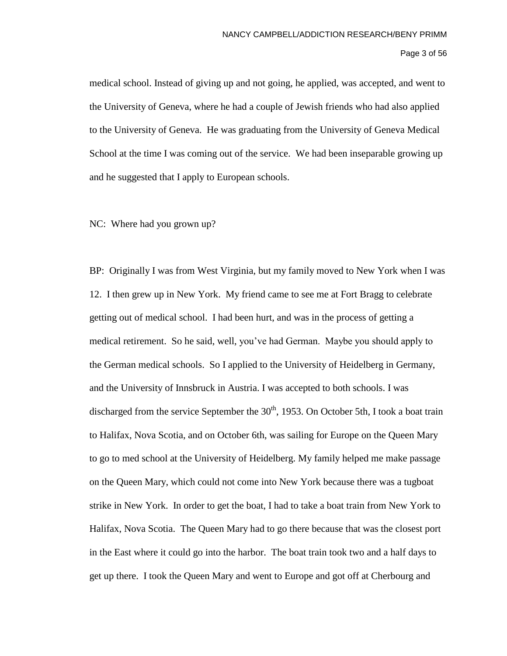Page 3 of 56

medical school. Instead of giving up and not going, he applied, was accepted, and went to the University of Geneva, where he had a couple of Jewish friends who had also applied to the University of Geneva. He was graduating from the University of Geneva Medical School at the time I was coming out of the service. We had been inseparable growing up and he suggested that I apply to European schools.

NC: Where had you grown up?

BP: Originally I was from West Virginia, but my family moved to New York when I was 12. I then grew up in New York. My friend came to see me at Fort Bragg to celebrate getting out of medical school. I had been hurt, and was in the process of getting a medical retirement. So he said, well, you've had German. Maybe you should apply to the German medical schools. So I applied to the University of Heidelberg in Germany, and the University of Innsbruck in Austria. I was accepted to both schools. I was discharged from the service September the  $30<sup>th</sup>$ , 1953. On October 5th, I took a boat train to Halifax, Nova Scotia, and on October 6th, was sailing for Europe on the Queen Mary to go to med school at the University of Heidelberg. My family helped me make passage on the Queen Mary, which could not come into New York because there was a tugboat strike in New York. In order to get the boat, I had to take a boat train from New York to Halifax, Nova Scotia. The Queen Mary had to go there because that was the closest port in the East where it could go into the harbor. The boat train took two and a half days to get up there. I took the Queen Mary and went to Europe and got off at Cherbourg and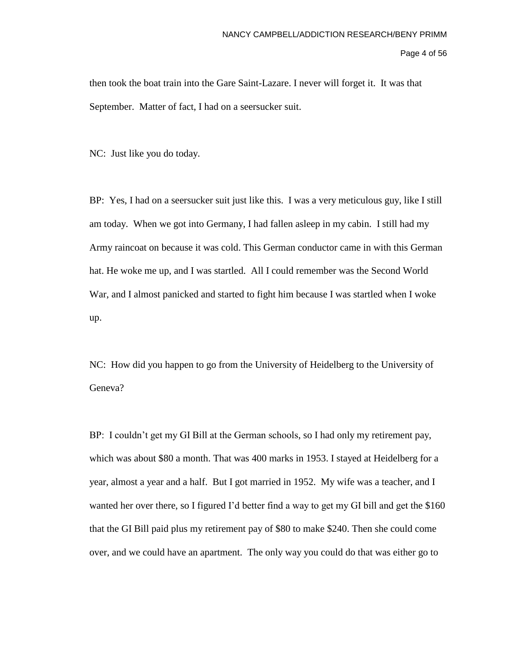Page 4 of 56

then took the boat train into the Gare Saint-Lazare. I never will forget it. It was that September. Matter of fact, I had on a seersucker suit.

NC: Just like you do today.

BP: Yes, I had on a seersucker suit just like this. I was a very meticulous guy, like I still am today. When we got into Germany, I had fallen asleep in my cabin. I still had my Army raincoat on because it was cold. This German conductor came in with this German hat. He woke me up, and I was startled. All I could remember was the Second World War, and I almost panicked and started to fight him because I was startled when I woke up.

NC: How did you happen to go from the University of Heidelberg to the University of Geneva?

BP: I couldn't get my GI Bill at the German schools, so I had only my retirement pay, which was about \$80 a month. That was 400 marks in 1953. I stayed at Heidelberg for a year, almost a year and a half. But I got married in 1952. My wife was a teacher, and I wanted her over there, so I figured I'd better find a way to get my GI bill and get the \$160 that the GI Bill paid plus my retirement pay of \$80 to make \$240. Then she could come over, and we could have an apartment. The only way you could do that was either go to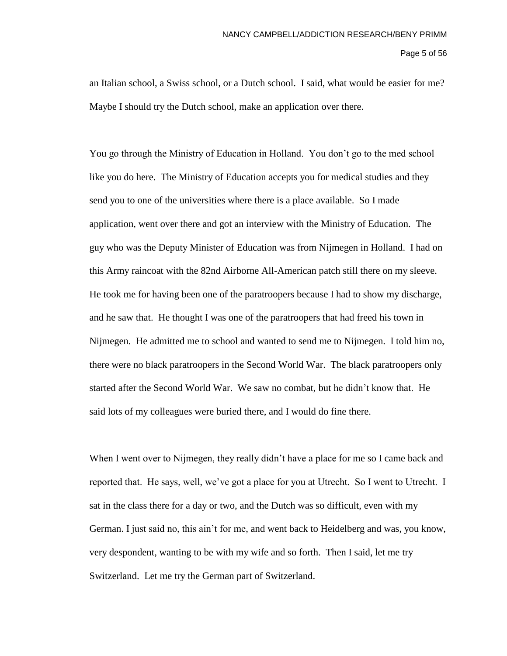Page 5 of 56

an Italian school, a Swiss school, or a Dutch school. I said, what would be easier for me? Maybe I should try the Dutch school, make an application over there.

You go through the Ministry of Education in Holland. You don't go to the med school like you do here. The Ministry of Education accepts you for medical studies and they send you to one of the universities where there is a place available. So I made application, went over there and got an interview with the Ministry of Education. The guy who was the Deputy Minister of Education was from Nijmegen in Holland. I had on this Army raincoat with the 82nd Airborne All-American patch still there on my sleeve. He took me for having been one of the paratroopers because I had to show my discharge, and he saw that. He thought I was one of the paratroopers that had freed his town in Nijmegen. He admitted me to school and wanted to send me to Nijmegen. I told him no, there were no black paratroopers in the Second World War. The black paratroopers only started after the Second World War. We saw no combat, but he didn't know that. He said lots of my colleagues were buried there, and I would do fine there.

When I went over to Nijmegen, they really didn't have a place for me so I came back and reported that. He says, well, we've got a place for you at Utrecht. So I went to Utrecht. I sat in the class there for a day or two, and the Dutch was so difficult, even with my German. I just said no, this ain't for me, and went back to Heidelberg and was, you know, very despondent, wanting to be with my wife and so forth. Then I said, let me try Switzerland. Let me try the German part of Switzerland.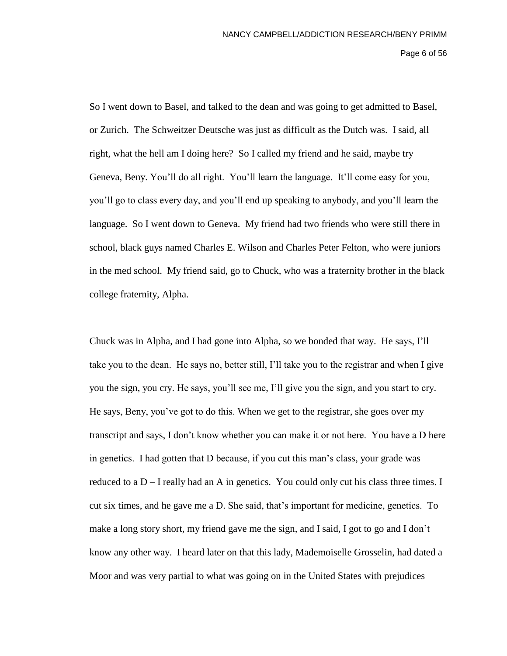Page 6 of 56

So I went down to Basel, and talked to the dean and was going to get admitted to Basel, or Zurich. The Schweitzer Deutsche was just as difficult as the Dutch was. I said, all right, what the hell am I doing here? So I called my friend and he said, maybe try Geneva, Beny. You'll do all right. You'll learn the language. It'll come easy for you, you'll go to class every day, and you'll end up speaking to anybody, and you'll learn the language. So I went down to Geneva. My friend had two friends who were still there in school, black guys named Charles E. Wilson and Charles Peter Felton, who were juniors in the med school. My friend said, go to Chuck, who was a fraternity brother in the black college fraternity, Alpha.

Chuck was in Alpha, and I had gone into Alpha, so we bonded that way. He says, I'll take you to the dean. He says no, better still, I'll take you to the registrar and when I give you the sign, you cry. He says, you'll see me, I'll give you the sign, and you start to cry. He says, Beny, you've got to do this. When we get to the registrar, she goes over my transcript and says, I don't know whether you can make it or not here. You have a D here in genetics. I had gotten that D because, if you cut this man's class, your grade was reduced to a  $D - I$  really had an A in genetics. You could only cut his class three times. I cut six times, and he gave me a D. She said, that's important for medicine, genetics. To make a long story short, my friend gave me the sign, and I said, I got to go and I don't know any other way. I heard later on that this lady, Mademoiselle Grosselin, had dated a Moor and was very partial to what was going on in the United States with prejudices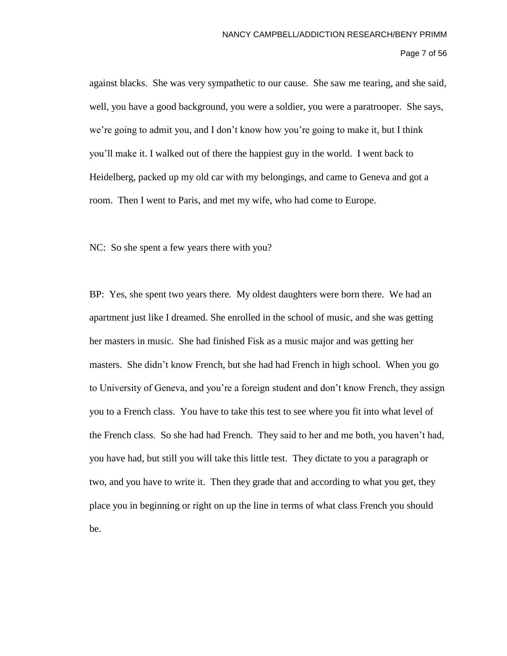# Page 7 of 56

against blacks. She was very sympathetic to our cause. She saw me tearing, and she said, well, you have a good background, you were a soldier, you were a paratrooper. She says, we're going to admit you, and I don't know how you're going to make it, but I think you'll make it. I walked out of there the happiest guy in the world. I went back to Heidelberg, packed up my old car with my belongings, and came to Geneva and got a room. Then I went to Paris, and met my wife, who had come to Europe.

NC: So she spent a few years there with you?

BP: Yes, she spent two years there. My oldest daughters were born there. We had an apartment just like I dreamed. She enrolled in the school of music, and she was getting her masters in music. She had finished Fisk as a music major and was getting her masters. She didn't know French, but she had had French in high school. When you go to University of Geneva, and you're a foreign student and don't know French, they assign you to a French class. You have to take this test to see where you fit into what level of the French class. So she had had French. They said to her and me both, you haven't had, you have had, but still you will take this little test. They dictate to you a paragraph or two, and you have to write it. Then they grade that and according to what you get, they place you in beginning or right on up the line in terms of what class French you should be.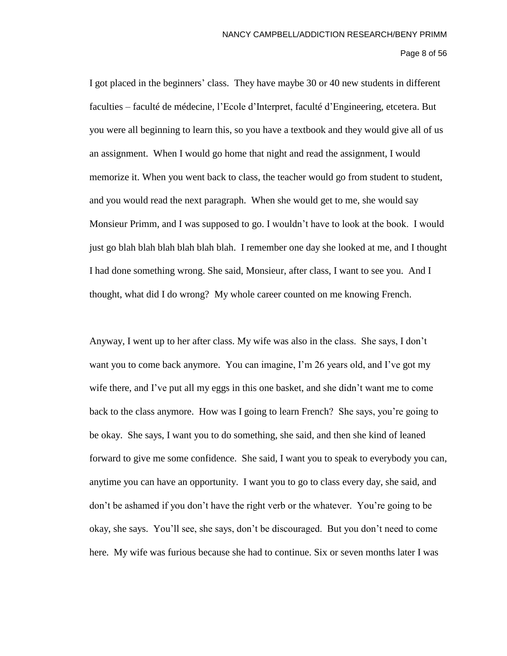# Page 8 of 56

I got placed in the beginners' class. They have maybe 30 or 40 new students in different faculties – faculté de médecine, l'Ecole d'Interpret, faculté d'Engineering, etcetera. But you were all beginning to learn this, so you have a textbook and they would give all of us an assignment. When I would go home that night and read the assignment, I would memorize it. When you went back to class, the teacher would go from student to student, and you would read the next paragraph. When she would get to me, she would say Monsieur Primm, and I was supposed to go. I wouldn't have to look at the book. I would just go blah blah blah blah blah blah. I remember one day she looked at me, and I thought I had done something wrong. She said, Monsieur, after class, I want to see you. And I thought, what did I do wrong? My whole career counted on me knowing French.

Anyway, I went up to her after class. My wife was also in the class. She says, I don't want you to come back anymore. You can imagine, I'm 26 years old, and I've got my wife there, and I've put all my eggs in this one basket, and she didn't want me to come back to the class anymore. How was I going to learn French? She says, you're going to be okay. She says, I want you to do something, she said, and then she kind of leaned forward to give me some confidence. She said, I want you to speak to everybody you can, anytime you can have an opportunity. I want you to go to class every day, she said, and don't be ashamed if you don't have the right verb or the whatever. You're going to be okay, she says. You'll see, she says, don't be discouraged. But you don't need to come here. My wife was furious because she had to continue. Six or seven months later I was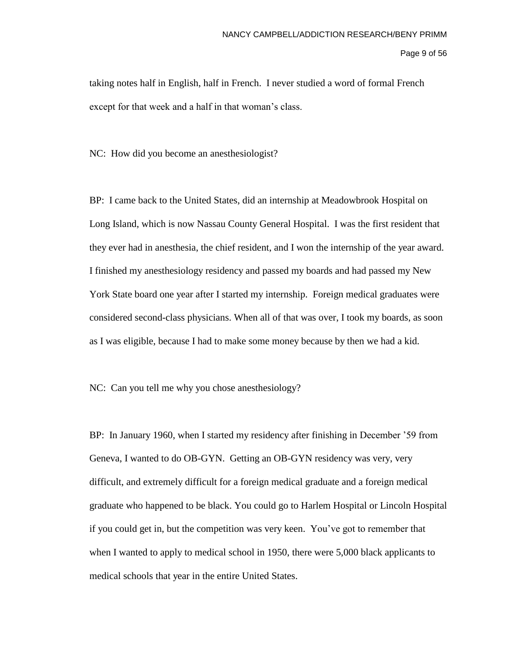Page 9 of 56

taking notes half in English, half in French. I never studied a word of formal French except for that week and a half in that woman's class.

NC: How did you become an anesthesiologist?

BP: I came back to the United States, did an internship at Meadowbrook Hospital on Long Island, which is now Nassau County General Hospital. I was the first resident that they ever had in anesthesia, the chief resident, and I won the internship of the year award. I finished my anesthesiology residency and passed my boards and had passed my New York State board one year after I started my internship. Foreign medical graduates were considered second-class physicians. When all of that was over, I took my boards, as soon as I was eligible, because I had to make some money because by then we had a kid.

NC: Can you tell me why you chose anesthesiology?

BP: In January 1960, when I started my residency after finishing in December '59 from Geneva, I wanted to do OB-GYN. Getting an OB-GYN residency was very, very difficult, and extremely difficult for a foreign medical graduate and a foreign medical graduate who happened to be black. You could go to Harlem Hospital or Lincoln Hospital if you could get in, but the competition was very keen. You've got to remember that when I wanted to apply to medical school in 1950, there were 5,000 black applicants to medical schools that year in the entire United States.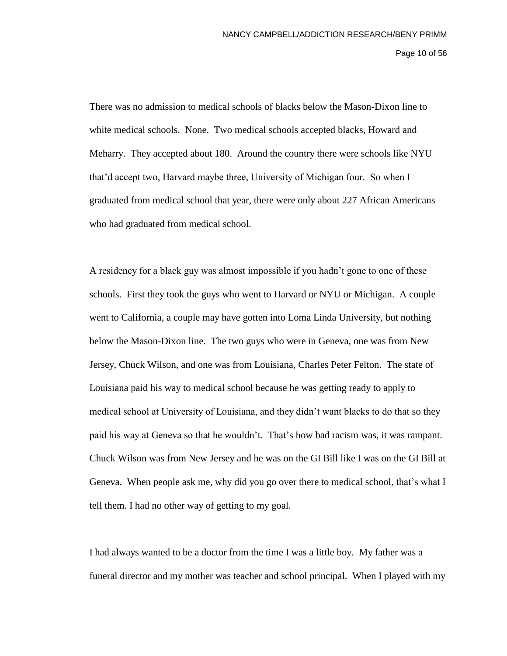# Page 10 of 56

There was no admission to medical schools of blacks below the Mason-Dixon line to white medical schools. None. Two medical schools accepted blacks, Howard and Meharry. They accepted about 180. Around the country there were schools like NYU that'd accept two, Harvard maybe three, University of Michigan four. So when I graduated from medical school that year, there were only about 227 African Americans who had graduated from medical school.

A residency for a black guy was almost impossible if you hadn't gone to one of these schools. First they took the guys who went to Harvard or NYU or Michigan. A couple went to California, a couple may have gotten into Loma Linda University, but nothing below the Mason-Dixon line. The two guys who were in Geneva, one was from New Jersey, Chuck Wilson, and one was from Louisiana, Charles Peter Felton. The state of Louisiana paid his way to medical school because he was getting ready to apply to medical school at University of Louisiana, and they didn't want blacks to do that so they paid his way at Geneva so that he wouldn't. That's how bad racism was, it was rampant. Chuck Wilson was from New Jersey and he was on the GI Bill like I was on the GI Bill at Geneva. When people ask me, why did you go over there to medical school, that's what I tell them. I had no other way of getting to my goal.

I had always wanted to be a doctor from the time I was a little boy. My father was a funeral director and my mother was teacher and school principal. When I played with my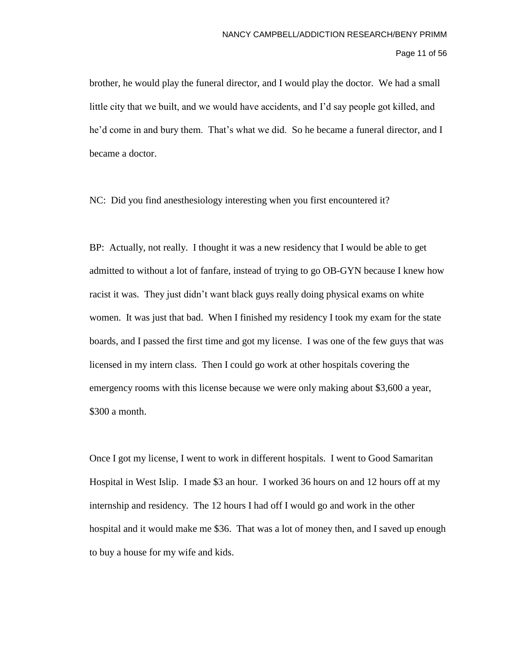Page 11 of 56

brother, he would play the funeral director, and I would play the doctor. We had a small little city that we built, and we would have accidents, and I'd say people got killed, and he'd come in and bury them. That's what we did. So he became a funeral director, and I became a doctor.

NC: Did you find anesthesiology interesting when you first encountered it?

BP: Actually, not really. I thought it was a new residency that I would be able to get admitted to without a lot of fanfare, instead of trying to go OB-GYN because I knew how racist it was. They just didn't want black guys really doing physical exams on white women. It was just that bad. When I finished my residency I took my exam for the state boards, and I passed the first time and got my license. I was one of the few guys that was licensed in my intern class. Then I could go work at other hospitals covering the emergency rooms with this license because we were only making about \$3,600 a year, \$300 a month.

Once I got my license, I went to work in different hospitals. I went to Good Samaritan Hospital in West Islip. I made \$3 an hour. I worked 36 hours on and 12 hours off at my internship and residency. The 12 hours I had off I would go and work in the other hospital and it would make me \$36. That was a lot of money then, and I saved up enough to buy a house for my wife and kids.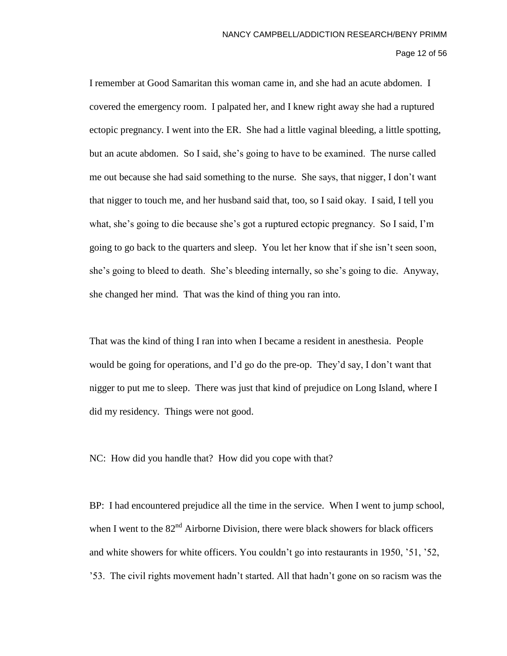Page 12 of 56

I remember at Good Samaritan this woman came in, and she had an acute abdomen. I covered the emergency room. I palpated her, and I knew right away she had a ruptured ectopic pregnancy. I went into the ER. She had a little vaginal bleeding, a little spotting, but an acute abdomen. So I said, she's going to have to be examined. The nurse called me out because she had said something to the nurse. She says, that nigger, I don't want that nigger to touch me, and her husband said that, too, so I said okay. I said, I tell you what, she's going to die because she's got a ruptured ectopic pregnancy. So I said, I'm going to go back to the quarters and sleep. You let her know that if she isn't seen soon, she's going to bleed to death. She's bleeding internally, so she's going to die. Anyway, she changed her mind. That was the kind of thing you ran into.

That was the kind of thing I ran into when I became a resident in anesthesia. People would be going for operations, and I'd go do the pre-op. They'd say, I don't want that nigger to put me to sleep. There was just that kind of prejudice on Long Island, where I did my residency. Things were not good.

NC: How did you handle that? How did you cope with that?

BP: I had encountered prejudice all the time in the service. When I went to jump school, when I went to the  $82<sup>nd</sup>$  Airborne Division, there were black showers for black officers and white showers for white officers. You couldn't go into restaurants in 1950, '51, '52, '53. The civil rights movement hadn't started. All that hadn't gone on so racism was the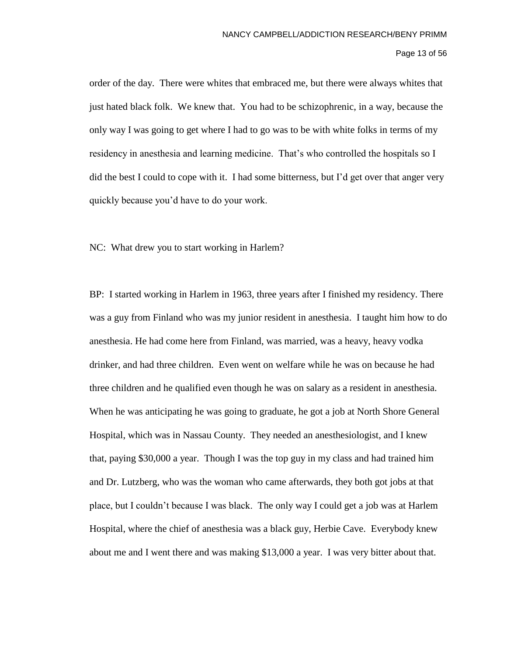# Page 13 of 56

order of the day. There were whites that embraced me, but there were always whites that just hated black folk. We knew that. You had to be schizophrenic, in a way, because the only way I was going to get where I had to go was to be with white folks in terms of my residency in anesthesia and learning medicine. That's who controlled the hospitals so I did the best I could to cope with it. I had some bitterness, but I'd get over that anger very quickly because you'd have to do your work.

NC: What drew you to start working in Harlem?

BP: I started working in Harlem in 1963, three years after I finished my residency. There was a guy from Finland who was my junior resident in anesthesia. I taught him how to do anesthesia. He had come here from Finland, was married, was a heavy, heavy vodka drinker, and had three children. Even went on welfare while he was on because he had three children and he qualified even though he was on salary as a resident in anesthesia. When he was anticipating he was going to graduate, he got a job at North Shore General Hospital, which was in Nassau County. They needed an anesthesiologist, and I knew that, paying \$30,000 a year. Though I was the top guy in my class and had trained him and Dr. Lutzberg, who was the woman who came afterwards, they both got jobs at that place, but I couldn't because I was black. The only way I could get a job was at Harlem Hospital, where the chief of anesthesia was a black guy, Herbie Cave. Everybody knew about me and I went there and was making \$13,000 a year. I was very bitter about that.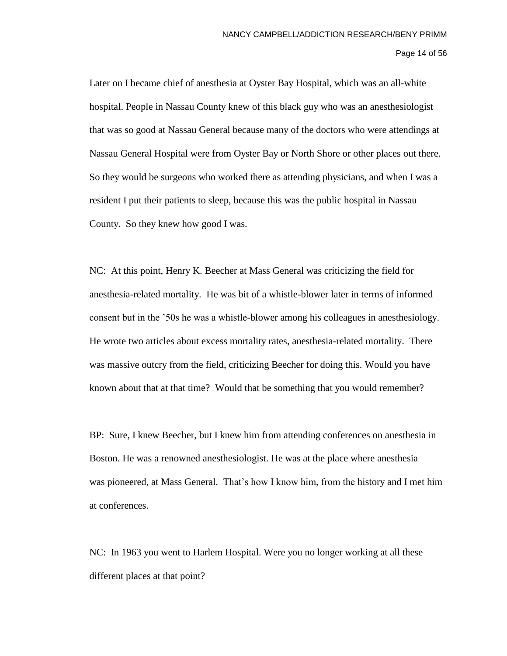Page 14 of 56

Later on I became chief of anesthesia at Oyster Bay Hospital, which was an all-white hospital. People in Nassau County knew of this black guy who was an anesthesiologist that was so good at Nassau General because many of the doctors who were attendings at Nassau General Hospital were from Oyster Bay or North Shore or other places out there. So they would be surgeons who worked there as attending physicians, and when I was a resident I put their patients to sleep, because this was the public hospital in Nassau County. So they knew how good I was.

NC: At this point, Henry K. Beecher at Mass General was criticizing the field for anesthesia-related mortality. He was bit of a whistle-blower later in terms of informed consent but in the '50s he was a whistle-blower among his colleagues in anesthesiology. He wrote two articles about excess mortality rates, anesthesia-related mortality. There was massive outcry from the field, criticizing Beecher for doing this. Would you have known about that at that time? Would that be something that you would remember?

BP: Sure, I knew Beecher, but I knew him from attending conferences on anesthesia in Boston. He was a renowned anesthesiologist. He was at the place where anesthesia was pioneered, at Mass General. That's how I know him, from the history and I met him at conferences.

NC: In 1963 you went to Harlem Hospital. Were you no longer working at all these different places at that point?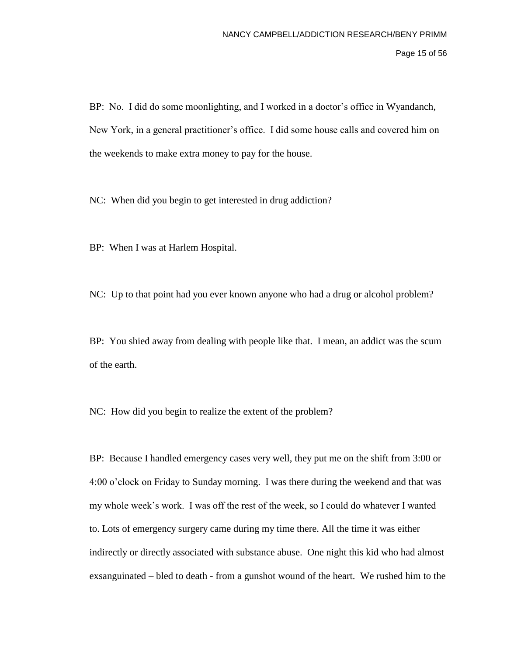Page 15 of 56

BP: No. I did do some moonlighting, and I worked in a doctor's office in Wyandanch, New York, in a general practitioner's office. I did some house calls and covered him on the weekends to make extra money to pay for the house.

NC: When did you begin to get interested in drug addiction?

BP: When I was at Harlem Hospital.

NC: Up to that point had you ever known anyone who had a drug or alcohol problem?

BP: You shied away from dealing with people like that. I mean, an addict was the scum of the earth.

NC: How did you begin to realize the extent of the problem?

BP: Because I handled emergency cases very well, they put me on the shift from 3:00 or 4:00 o'clock on Friday to Sunday morning. I was there during the weekend and that was my whole week's work. I was off the rest of the week, so I could do whatever I wanted to. Lots of emergency surgery came during my time there. All the time it was either indirectly or directly associated with substance abuse. One night this kid who had almost exsanguinated – bled to death - from a gunshot wound of the heart. We rushed him to the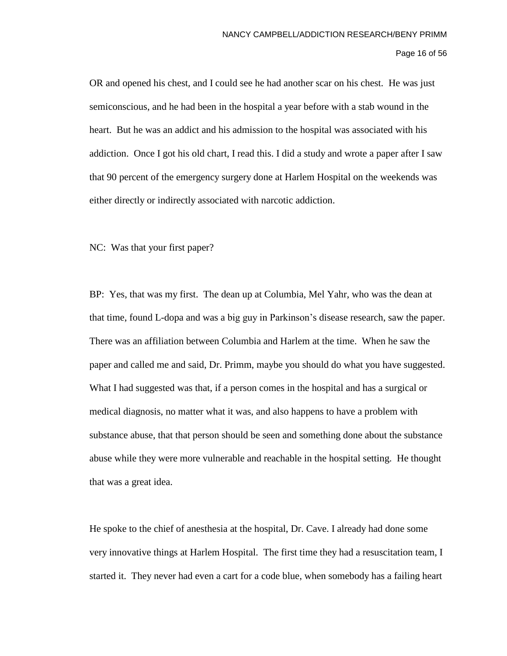OR and opened his chest, and I could see he had another scar on his chest. He was just semiconscious, and he had been in the hospital a year before with a stab wound in the heart. But he was an addict and his admission to the hospital was associated with his addiction. Once I got his old chart, I read this. I did a study and wrote a paper after I saw that 90 percent of the emergency surgery done at Harlem Hospital on the weekends was either directly or indirectly associated with narcotic addiction.

NC: Was that your first paper?

BP: Yes, that was my first. The dean up at Columbia, Mel Yahr, who was the dean at that time, found L-dopa and was a big guy in Parkinson's disease research, saw the paper. There was an affiliation between Columbia and Harlem at the time. When he saw the paper and called me and said, Dr. Primm, maybe you should do what you have suggested. What I had suggested was that, if a person comes in the hospital and has a surgical or medical diagnosis, no matter what it was, and also happens to have a problem with substance abuse, that that person should be seen and something done about the substance abuse while they were more vulnerable and reachable in the hospital setting. He thought that was a great idea.

He spoke to the chief of anesthesia at the hospital, Dr. Cave. I already had done some very innovative things at Harlem Hospital. The first time they had a resuscitation team, I started it. They never had even a cart for a code blue, when somebody has a failing heart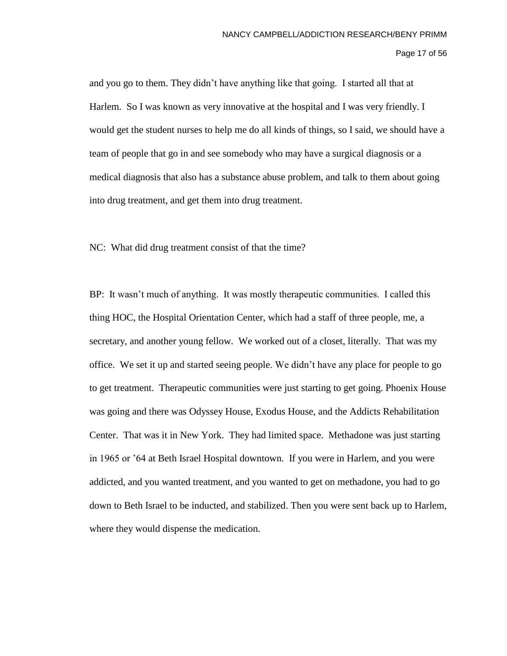and you go to them. They didn't have anything like that going. I started all that at Harlem. So I was known as very innovative at the hospital and I was very friendly. I would get the student nurses to help me do all kinds of things, so I said, we should have a team of people that go in and see somebody who may have a surgical diagnosis or a medical diagnosis that also has a substance abuse problem, and talk to them about going into drug treatment, and get them into drug treatment.

NC: What did drug treatment consist of that the time?

BP: It wasn't much of anything. It was mostly therapeutic communities. I called this thing HOC, the Hospital Orientation Center, which had a staff of three people, me, a secretary, and another young fellow. We worked out of a closet, literally. That was my office. We set it up and started seeing people. We didn't have any place for people to go to get treatment. Therapeutic communities were just starting to get going. Phoenix House was going and there was Odyssey House, Exodus House, and the Addicts Rehabilitation Center. That was it in New York. They had limited space. Methadone was just starting in 1965 or '64 at Beth Israel Hospital downtown. If you were in Harlem, and you were addicted, and you wanted treatment, and you wanted to get on methadone, you had to go down to Beth Israel to be inducted, and stabilized. Then you were sent back up to Harlem, where they would dispense the medication.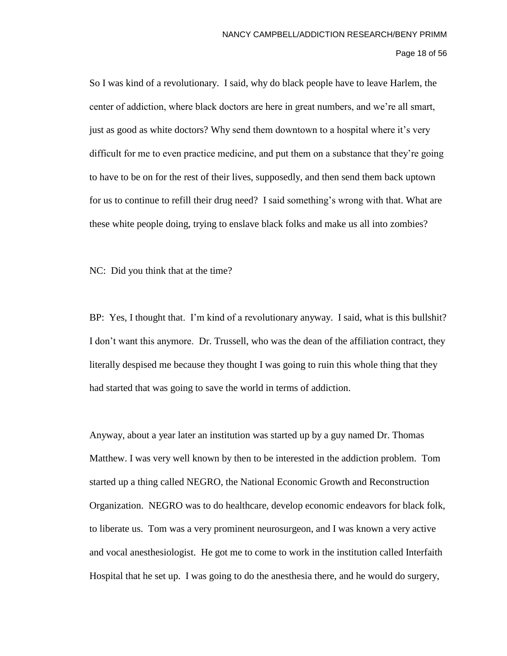## Page 18 of 56

So I was kind of a revolutionary. I said, why do black people have to leave Harlem, the center of addiction, where black doctors are here in great numbers, and we're all smart, just as good as white doctors? Why send them downtown to a hospital where it's very difficult for me to even practice medicine, and put them on a substance that they're going to have to be on for the rest of their lives, supposedly, and then send them back uptown for us to continue to refill their drug need? I said something's wrong with that. What are these white people doing, trying to enslave black folks and make us all into zombies?

NC: Did you think that at the time?

BP: Yes, I thought that. I'm kind of a revolutionary anyway. I said, what is this bullshit? I don't want this anymore. Dr. Trussell, who was the dean of the affiliation contract, they literally despised me because they thought I was going to ruin this whole thing that they had started that was going to save the world in terms of addiction.

Anyway, about a year later an institution was started up by a guy named Dr. Thomas Matthew. I was very well known by then to be interested in the addiction problem. Tom started up a thing called NEGRO, the National Economic Growth and Reconstruction Organization. NEGRO was to do healthcare, develop economic endeavors for black folk, to liberate us. Tom was a very prominent neurosurgeon, and I was known a very active and vocal anesthesiologist. He got me to come to work in the institution called Interfaith Hospital that he set up. I was going to do the anesthesia there, and he would do surgery,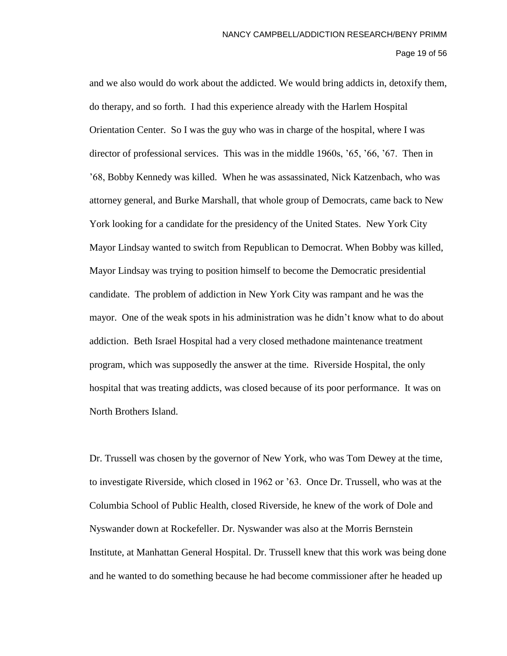Page 19 of 56

and we also would do work about the addicted. We would bring addicts in, detoxify them, do therapy, and so forth. I had this experience already with the Harlem Hospital Orientation Center. So I was the guy who was in charge of the hospital, where I was director of professional services. This was in the middle 1960s, '65, '66, '67. Then in '68, Bobby Kennedy was killed. When he was assassinated, Nick Katzenbach, who was attorney general, and Burke Marshall, that whole group of Democrats, came back to New York looking for a candidate for the presidency of the United States. New York City Mayor Lindsay wanted to switch from Republican to Democrat. When Bobby was killed, Mayor Lindsay was trying to position himself to become the Democratic presidential candidate. The problem of addiction in New York City was rampant and he was the mayor. One of the weak spots in his administration was he didn't know what to do about addiction. Beth Israel Hospital had a very closed methadone maintenance treatment program, which was supposedly the answer at the time. Riverside Hospital, the only hospital that was treating addicts, was closed because of its poor performance. It was on North Brothers Island.

Dr. Trussell was chosen by the governor of New York, who was Tom Dewey at the time, to investigate Riverside, which closed in 1962 or '63. Once Dr. Trussell, who was at the Columbia School of Public Health, closed Riverside, he knew of the work of Dole and Nyswander down at Rockefeller. Dr. Nyswander was also at the Morris Bernstein Institute, at Manhattan General Hospital. Dr. Trussell knew that this work was being done and he wanted to do something because he had become commissioner after he headed up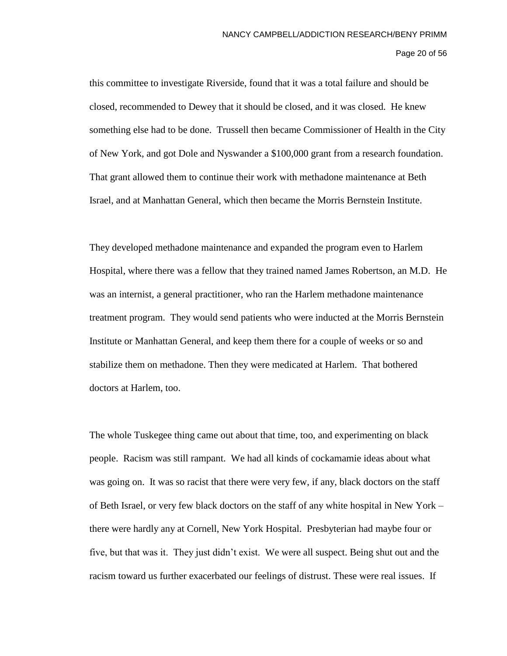Page 20 of 56

this committee to investigate Riverside, found that it was a total failure and should be closed, recommended to Dewey that it should be closed, and it was closed. He knew something else had to be done. Trussell then became Commissioner of Health in the City of New York, and got Dole and Nyswander a \$100,000 grant from a research foundation. That grant allowed them to continue their work with methadone maintenance at Beth Israel, and at Manhattan General, which then became the Morris Bernstein Institute.

They developed methadone maintenance and expanded the program even to Harlem Hospital, where there was a fellow that they trained named James Robertson, an M.D. He was an internist, a general practitioner, who ran the Harlem methadone maintenance treatment program. They would send patients who were inducted at the Morris Bernstein Institute or Manhattan General, and keep them there for a couple of weeks or so and stabilize them on methadone. Then they were medicated at Harlem. That bothered doctors at Harlem, too.

The whole Tuskegee thing came out about that time, too, and experimenting on black people. Racism was still rampant. We had all kinds of cockamamie ideas about what was going on. It was so racist that there were very few, if any, black doctors on the staff of Beth Israel, or very few black doctors on the staff of any white hospital in New York – there were hardly any at Cornell, New York Hospital. Presbyterian had maybe four or five, but that was it. They just didn't exist. We were all suspect. Being shut out and the racism toward us further exacerbated our feelings of distrust. These were real issues. If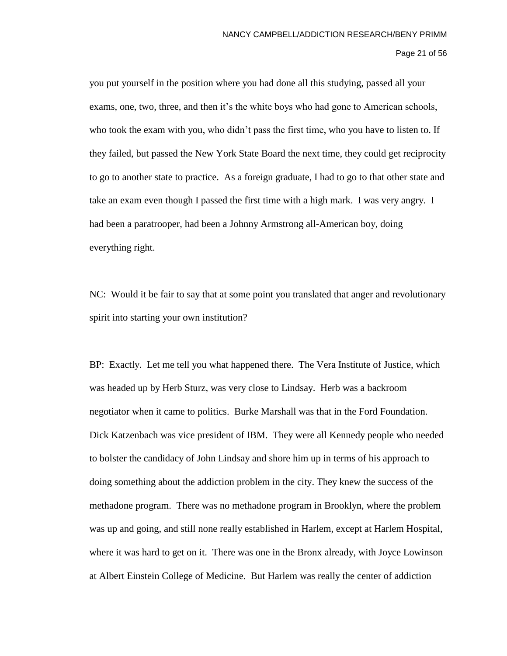Page 21 of 56

you put yourself in the position where you had done all this studying, passed all your exams, one, two, three, and then it's the white boys who had gone to American schools, who took the exam with you, who didn't pass the first time, who you have to listen to. If they failed, but passed the New York State Board the next time, they could get reciprocity to go to another state to practice. As a foreign graduate, I had to go to that other state and take an exam even though I passed the first time with a high mark. I was very angry. I had been a paratrooper, had been a Johnny Armstrong all-American boy, doing everything right.

NC: Would it be fair to say that at some point you translated that anger and revolutionary spirit into starting your own institution?

BP: Exactly. Let me tell you what happened there. The Vera Institute of Justice, which was headed up by Herb Sturz, was very close to Lindsay. Herb was a backroom negotiator when it came to politics. Burke Marshall was that in the Ford Foundation. Dick Katzenbach was vice president of IBM. They were all Kennedy people who needed to bolster the candidacy of John Lindsay and shore him up in terms of his approach to doing something about the addiction problem in the city. They knew the success of the methadone program. There was no methadone program in Brooklyn, where the problem was up and going, and still none really established in Harlem, except at Harlem Hospital, where it was hard to get on it. There was one in the Bronx already, with Joyce Lowinson at Albert Einstein College of Medicine. But Harlem was really the center of addiction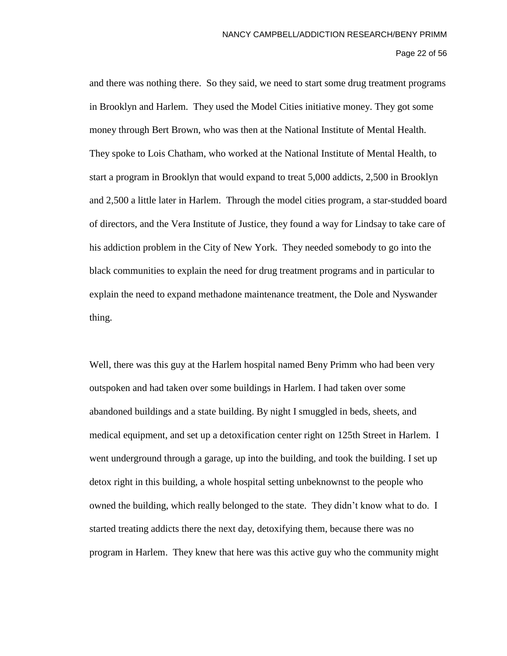## Page 22 of 56

and there was nothing there. So they said, we need to start some drug treatment programs in Brooklyn and Harlem. They used the Model Cities initiative money. They got some money through Bert Brown, who was then at the National Institute of Mental Health. They spoke to Lois Chatham, who worked at the National Institute of Mental Health, to start a program in Brooklyn that would expand to treat 5,000 addicts, 2,500 in Brooklyn and 2,500 a little later in Harlem. Through the model cities program, a star-studded board of directors, and the Vera Institute of Justice, they found a way for Lindsay to take care of his addiction problem in the City of New York. They needed somebody to go into the black communities to explain the need for drug treatment programs and in particular to explain the need to expand methadone maintenance treatment, the Dole and Nyswander thing.

Well, there was this guy at the Harlem hospital named Beny Primm who had been very outspoken and had taken over some buildings in Harlem. I had taken over some abandoned buildings and a state building. By night I smuggled in beds, sheets, and medical equipment, and set up a detoxification center right on 125th Street in Harlem. I went underground through a garage, up into the building, and took the building. I set up detox right in this building, a whole hospital setting unbeknownst to the people who owned the building, which really belonged to the state. They didn't know what to do. I started treating addicts there the next day, detoxifying them, because there was no program in Harlem. They knew that here was this active guy who the community might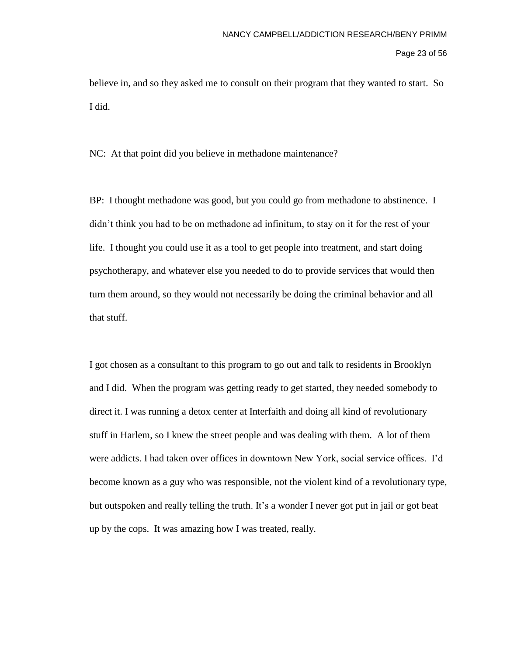Page 23 of 56

believe in, and so they asked me to consult on their program that they wanted to start. So I did.

NC: At that point did you believe in methadone maintenance?

BP: I thought methadone was good, but you could go from methadone to abstinence. I didn't think you had to be on methadone ad infinitum, to stay on it for the rest of your life. I thought you could use it as a tool to get people into treatment, and start doing psychotherapy, and whatever else you needed to do to provide services that would then turn them around, so they would not necessarily be doing the criminal behavior and all that stuff.

I got chosen as a consultant to this program to go out and talk to residents in Brooklyn and I did. When the program was getting ready to get started, they needed somebody to direct it. I was running a detox center at Interfaith and doing all kind of revolutionary stuff in Harlem, so I knew the street people and was dealing with them. A lot of them were addicts. I had taken over offices in downtown New York, social service offices. I'd become known as a guy who was responsible, not the violent kind of a revolutionary type, but outspoken and really telling the truth. It's a wonder I never got put in jail or got beat up by the cops. It was amazing how I was treated, really.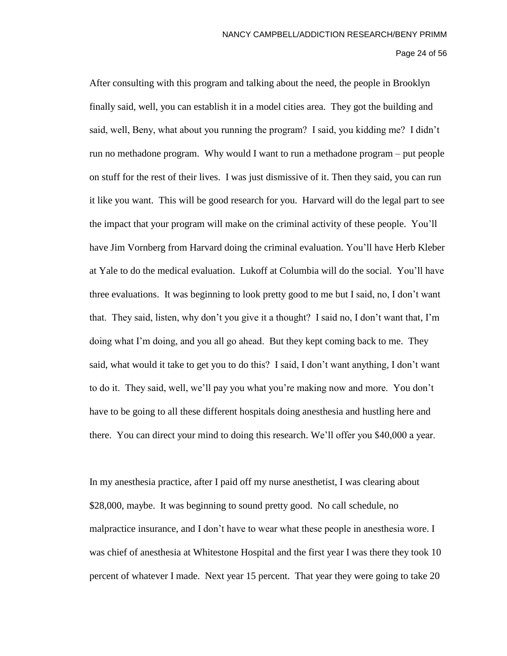Page 24 of 56

After consulting with this program and talking about the need, the people in Brooklyn finally said, well, you can establish it in a model cities area. They got the building and said, well, Beny, what about you running the program? I said, you kidding me? I didn't run no methadone program. Why would I want to run a methadone program – put people on stuff for the rest of their lives. I was just dismissive of it. Then they said, you can run it like you want. This will be good research for you. Harvard will do the legal part to see the impact that your program will make on the criminal activity of these people. You'll have Jim Vornberg from Harvard doing the criminal evaluation. You'll have Herb Kleber at Yale to do the medical evaluation. Lukoff at Columbia will do the social. You'll have three evaluations. It was beginning to look pretty good to me but I said, no, I don't want that. They said, listen, why don't you give it a thought? I said no, I don't want that, I'm doing what I'm doing, and you all go ahead. But they kept coming back to me. They said, what would it take to get you to do this? I said, I don't want anything, I don't want to do it. They said, well, we'll pay you what you're making now and more. You don't have to be going to all these different hospitals doing anesthesia and hustling here and there. You can direct your mind to doing this research. We'll offer you \$40,000 a year.

In my anesthesia practice, after I paid off my nurse anesthetist, I was clearing about \$28,000, maybe. It was beginning to sound pretty good. No call schedule, no malpractice insurance, and I don't have to wear what these people in anesthesia wore. I was chief of anesthesia at Whitestone Hospital and the first year I was there they took 10 percent of whatever I made. Next year 15 percent. That year they were going to take 20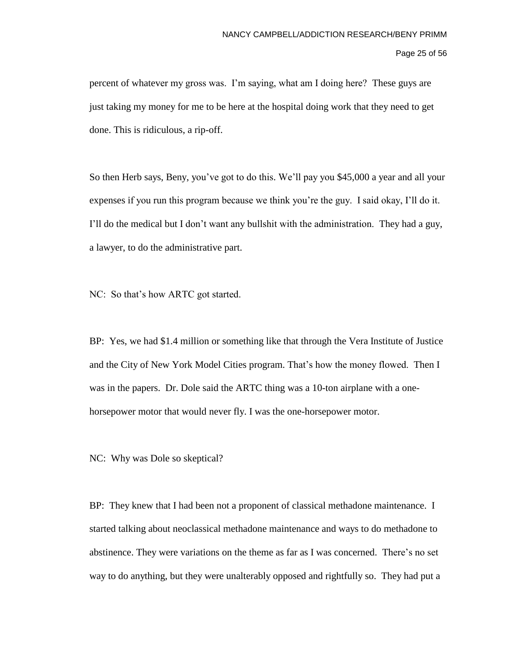# Page 25 of 56

percent of whatever my gross was. I'm saying, what am I doing here? These guys are just taking my money for me to be here at the hospital doing work that they need to get done. This is ridiculous, a rip-off.

So then Herb says, Beny, you've got to do this. We'll pay you \$45,000 a year and all your expenses if you run this program because we think you're the guy. I said okay, I'll do it. I'll do the medical but I don't want any bullshit with the administration. They had a guy, a lawyer, to do the administrative part.

NC: So that's how ARTC got started.

BP: Yes, we had \$1.4 million or something like that through the Vera Institute of Justice and the City of New York Model Cities program. That's how the money flowed. Then I was in the papers. Dr. Dole said the ARTC thing was a 10-ton airplane with a onehorsepower motor that would never fly. I was the one-horsepower motor.

NC: Why was Dole so skeptical?

BP: They knew that I had been not a proponent of classical methadone maintenance. I started talking about neoclassical methadone maintenance and ways to do methadone to abstinence. They were variations on the theme as far as I was concerned. There's no set way to do anything, but they were unalterably opposed and rightfully so. They had put a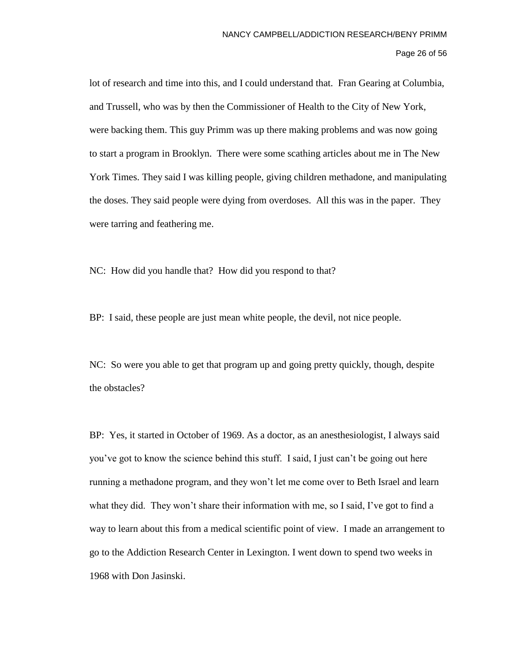lot of research and time into this, and I could understand that. Fran Gearing at Columbia, and Trussell, who was by then the Commissioner of Health to the City of New York, were backing them. This guy Primm was up there making problems and was now going to start a program in Brooklyn. There were some scathing articles about me in The New York Times. They said I was killing people, giving children methadone, and manipulating the doses. They said people were dying from overdoses. All this was in the paper. They were tarring and feathering me.

NC: How did you handle that? How did you respond to that?

BP: I said, these people are just mean white people, the devil, not nice people.

NC: So were you able to get that program up and going pretty quickly, though, despite the obstacles?

BP: Yes, it started in October of 1969. As a doctor, as an anesthesiologist, I always said you've got to know the science behind this stuff. I said, I just can't be going out here running a methadone program, and they won't let me come over to Beth Israel and learn what they did. They won't share their information with me, so I said, I've got to find a way to learn about this from a medical scientific point of view. I made an arrangement to go to the Addiction Research Center in Lexington. I went down to spend two weeks in 1968 with Don Jasinski.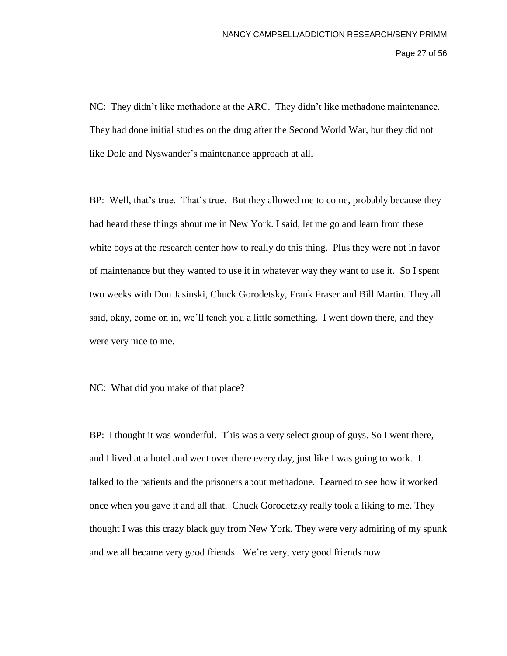Page 27 of 56

NC: They didn't like methadone at the ARC. They didn't like methadone maintenance. They had done initial studies on the drug after the Second World War, but they did not like Dole and Nyswander's maintenance approach at all.

BP: Well, that's true. That's true. But they allowed me to come, probably because they had heard these things about me in New York. I said, let me go and learn from these white boys at the research center how to really do this thing. Plus they were not in favor of maintenance but they wanted to use it in whatever way they want to use it. So I spent two weeks with Don Jasinski, Chuck Gorodetsky, Frank Fraser and Bill Martin. They all said, okay, come on in, we'll teach you a little something. I went down there, and they were very nice to me.

NC: What did you make of that place?

BP: I thought it was wonderful. This was a very select group of guys. So I went there, and I lived at a hotel and went over there every day, just like I was going to work. I talked to the patients and the prisoners about methadone. Learned to see how it worked once when you gave it and all that. Chuck Gorodetzky really took a liking to me. They thought I was this crazy black guy from New York. They were very admiring of my spunk and we all became very good friends. We're very, very good friends now.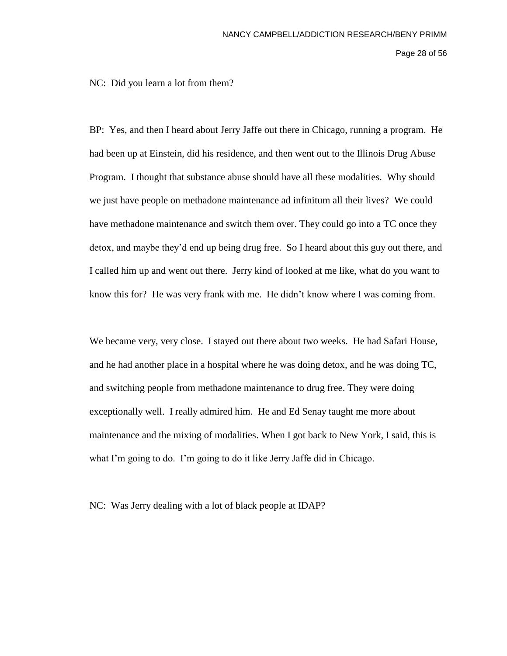Page 28 of 56

NC: Did you learn a lot from them?

BP: Yes, and then I heard about Jerry Jaffe out there in Chicago, running a program. He had been up at Einstein, did his residence, and then went out to the Illinois Drug Abuse Program. I thought that substance abuse should have all these modalities. Why should we just have people on methadone maintenance ad infinitum all their lives? We could have methadone maintenance and switch them over. They could go into a TC once they detox, and maybe they'd end up being drug free. So I heard about this guy out there, and I called him up and went out there. Jerry kind of looked at me like, what do you want to know this for? He was very frank with me. He didn't know where I was coming from.

We became very, very close. I stayed out there about two weeks. He had Safari House, and he had another place in a hospital where he was doing detox, and he was doing TC, and switching people from methadone maintenance to drug free. They were doing exceptionally well. I really admired him. He and Ed Senay taught me more about maintenance and the mixing of modalities. When I got back to New York, I said, this is what I'm going to do. I'm going to do it like Jerry Jaffe did in Chicago.

NC: Was Jerry dealing with a lot of black people at IDAP?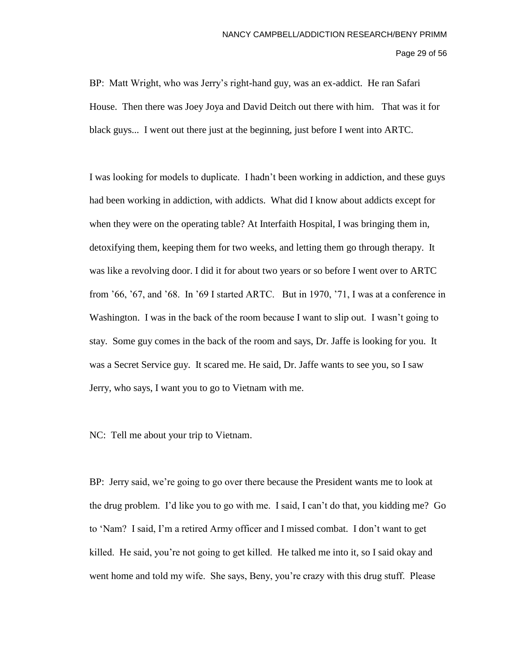Page 29 of 56

BP: Matt Wright, who was Jerry's right-hand guy, was an ex-addict. He ran Safari House. Then there was Joey Joya and David Deitch out there with him. That was it for black guys... I went out there just at the beginning, just before I went into ARTC.

I was looking for models to duplicate. I hadn't been working in addiction, and these guys had been working in addiction, with addicts. What did I know about addicts except for when they were on the operating table? At Interfaith Hospital, I was bringing them in, detoxifying them, keeping them for two weeks, and letting them go through therapy. It was like a revolving door. I did it for about two years or so before I went over to ARTC from '66, '67, and '68. In '69 I started ARTC. But in 1970, '71, I was at a conference in Washington. I was in the back of the room because I want to slip out. I wasn't going to stay. Some guy comes in the back of the room and says, Dr. Jaffe is looking for you. It was a Secret Service guy. It scared me. He said, Dr. Jaffe wants to see you, so I saw Jerry, who says, I want you to go to Vietnam with me.

NC: Tell me about your trip to Vietnam.

BP: Jerry said, we're going to go over there because the President wants me to look at the drug problem. I'd like you to go with me. I said, I can't do that, you kidding me? Go to 'Nam? I said, I'm a retired Army officer and I missed combat. I don't want to get killed. He said, you're not going to get killed. He talked me into it, so I said okay and went home and told my wife. She says, Beny, you're crazy with this drug stuff. Please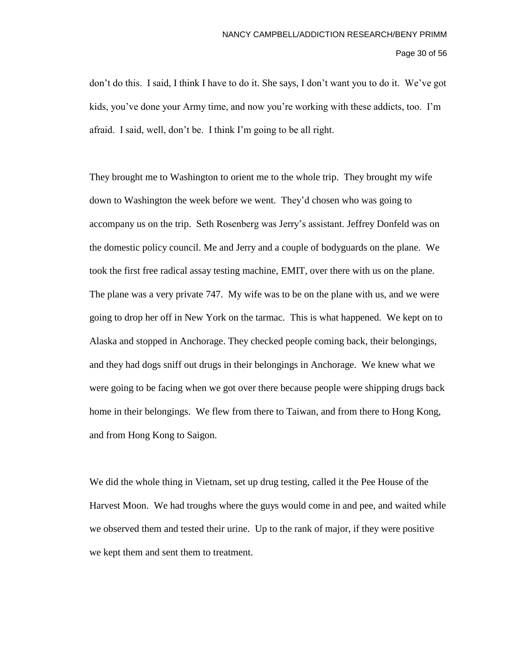Page 30 of 56

don't do this. I said, I think I have to do it. She says, I don't want you to do it. We've got kids, you've done your Army time, and now you're working with these addicts, too. I'm afraid. I said, well, don't be. I think I'm going to be all right.

They brought me to Washington to orient me to the whole trip. They brought my wife down to Washington the week before we went. They'd chosen who was going to accompany us on the trip. Seth Rosenberg was Jerry's assistant. Jeffrey Donfeld was on the domestic policy council. Me and Jerry and a couple of bodyguards on the plane. We took the first free radical assay testing machine, EMIT, over there with us on the plane. The plane was a very private 747. My wife was to be on the plane with us, and we were going to drop her off in New York on the tarmac. This is what happened. We kept on to Alaska and stopped in Anchorage. They checked people coming back, their belongings, and they had dogs sniff out drugs in their belongings in Anchorage. We knew what we were going to be facing when we got over there because people were shipping drugs back home in their belongings. We flew from there to Taiwan, and from there to Hong Kong, and from Hong Kong to Saigon.

We did the whole thing in Vietnam, set up drug testing, called it the Pee House of the Harvest Moon. We had troughs where the guys would come in and pee, and waited while we observed them and tested their urine. Up to the rank of major, if they were positive we kept them and sent them to treatment.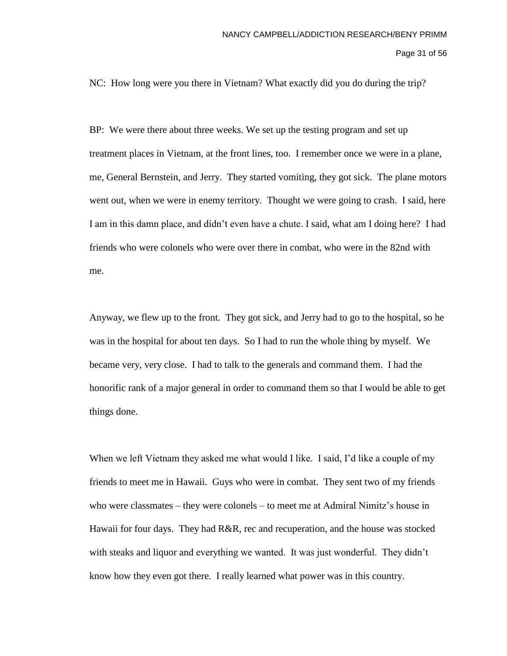Page 31 of 56

NC: How long were you there in Vietnam? What exactly did you do during the trip?

BP: We were there about three weeks. We set up the testing program and set up treatment places in Vietnam, at the front lines, too. I remember once we were in a plane, me, General Bernstein, and Jerry. They started vomiting, they got sick. The plane motors went out, when we were in enemy territory. Thought we were going to crash. I said, here I am in this damn place, and didn't even have a chute. I said, what am I doing here? I had friends who were colonels who were over there in combat, who were in the 82nd with me.

Anyway, we flew up to the front. They got sick, and Jerry had to go to the hospital, so he was in the hospital for about ten days. So I had to run the whole thing by myself. We became very, very close. I had to talk to the generals and command them. I had the honorific rank of a major general in order to command them so that I would be able to get things done.

When we left Vietnam they asked me what would I like. I said, I'd like a couple of my friends to meet me in Hawaii. Guys who were in combat. They sent two of my friends who were classmates – they were colonels – to meet me at Admiral Nimitz's house in Hawaii for four days. They had R&R, rec and recuperation, and the house was stocked with steaks and liquor and everything we wanted. It was just wonderful. They didn't know how they even got there. I really learned what power was in this country.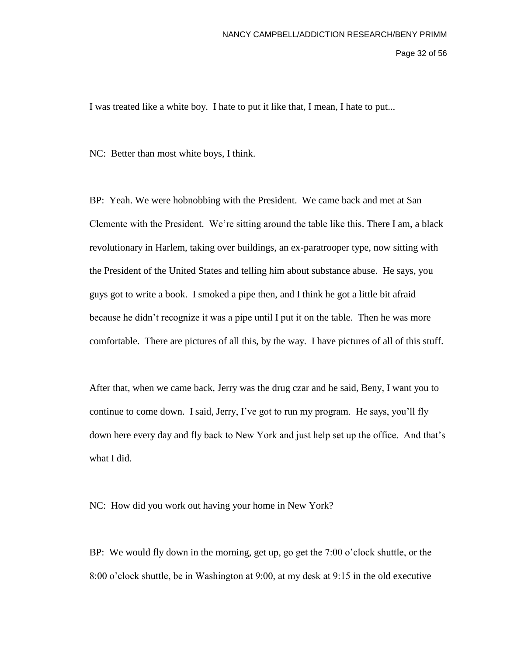Page 32 of 56

I was treated like a white boy. I hate to put it like that, I mean, I hate to put...

NC: Better than most white boys, I think.

BP: Yeah. We were hobnobbing with the President. We came back and met at San Clemente with the President. We're sitting around the table like this. There I am, a black revolutionary in Harlem, taking over buildings, an ex-paratrooper type, now sitting with the President of the United States and telling him about substance abuse. He says, you guys got to write a book. I smoked a pipe then, and I think he got a little bit afraid because he didn't recognize it was a pipe until I put it on the table. Then he was more comfortable. There are pictures of all this, by the way. I have pictures of all of this stuff.

After that, when we came back, Jerry was the drug czar and he said, Beny, I want you to continue to come down. I said, Jerry, I've got to run my program. He says, you'll fly down here every day and fly back to New York and just help set up the office. And that's what I did.

NC: How did you work out having your home in New York?

BP: We would fly down in the morning, get up, go get the 7:00 o'clock shuttle, or the 8:00 o'clock shuttle, be in Washington at 9:00, at my desk at 9:15 in the old executive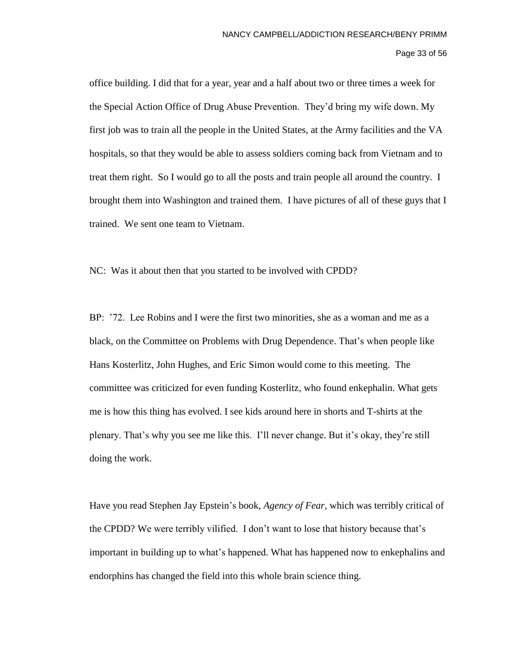Page 33 of 56

office building. I did that for a year, year and a half about two or three times a week for the Special Action Office of Drug Abuse Prevention. They'd bring my wife down. My first job was to train all the people in the United States, at the Army facilities and the VA hospitals, so that they would be able to assess soldiers coming back from Vietnam and to treat them right. So I would go to all the posts and train people all around the country. I brought them into Washington and trained them. I have pictures of all of these guys that I trained. We sent one team to Vietnam.

NC: Was it about then that you started to be involved with CPDD?

BP: '72. Lee Robins and I were the first two minorities, she as a woman and me as a black, on the Committee on Problems with Drug Dependence. That's when people like Hans Kosterlitz, John Hughes, and Eric Simon would come to this meeting. The committee was criticized for even funding Kosterlitz, who found enkephalin. What gets me is how this thing has evolved. I see kids around here in shorts and T-shirts at the plenary. That's why you see me like this. I'll never change. But it's okay, they're still doing the work.

Have you read Stephen Jay Epstein's book, *Agency of Fear,* which was terribly critical of the CPDD? We were terribly vilified. I don't want to lose that history because that's important in building up to what's happened. What has happened now to enkephalins and endorphins has changed the field into this whole brain science thing.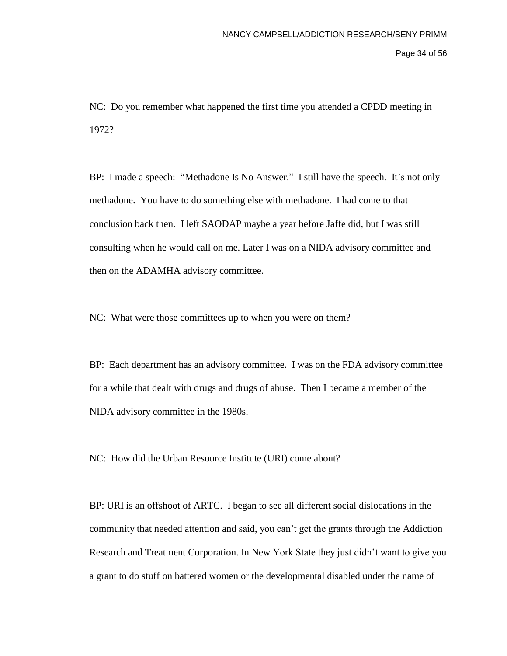Page 34 of 56

NC: Do you remember what happened the first time you attended a CPDD meeting in 1972?

BP: I made a speech: "Methadone Is No Answer." I still have the speech. It's not only methadone. You have to do something else with methadone. I had come to that conclusion back then. I left SAODAP maybe a year before Jaffe did, but I was still consulting when he would call on me. Later I was on a NIDA advisory committee and then on the ADAMHA advisory committee.

NC: What were those committees up to when you were on them?

BP: Each department has an advisory committee. I was on the FDA advisory committee for a while that dealt with drugs and drugs of abuse. Then I became a member of the NIDA advisory committee in the 1980s.

NC: How did the Urban Resource Institute (URI) come about?

BP: URI is an offshoot of ARTC. I began to see all different social dislocations in the community that needed attention and said, you can't get the grants through the Addiction Research and Treatment Corporation. In New York State they just didn't want to give you a grant to do stuff on battered women or the developmental disabled under the name of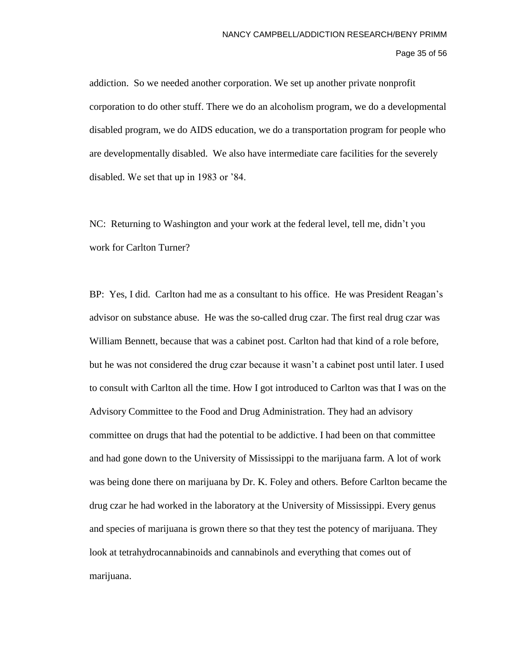## Page 35 of 56

addiction. So we needed another corporation. We set up another private nonprofit corporation to do other stuff. There we do an alcoholism program, we do a developmental disabled program, we do AIDS education, we do a transportation program for people who are developmentally disabled. We also have intermediate care facilities for the severely disabled. We set that up in 1983 or '84.

NC: Returning to Washington and your work at the federal level, tell me, didn't you work for Carlton Turner?

BP: Yes, I did. Carlton had me as a consultant to his office. He was President Reagan's advisor on substance abuse. He was the so-called drug czar. The first real drug czar was William Bennett, because that was a cabinet post. Carlton had that kind of a role before, but he was not considered the drug czar because it wasn't a cabinet post until later. I used to consult with Carlton all the time. How I got introduced to Carlton was that I was on the Advisory Committee to the Food and Drug Administration. They had an advisory committee on drugs that had the potential to be addictive. I had been on that committee and had gone down to the University of Mississippi to the marijuana farm. A lot of work was being done there on marijuana by Dr. K. Foley and others. Before Carlton became the drug czar he had worked in the laboratory at the University of Mississippi. Every genus and species of marijuana is grown there so that they test the potency of marijuana. They look at tetrahydrocannabinoids and cannabinols and everything that comes out of marijuana.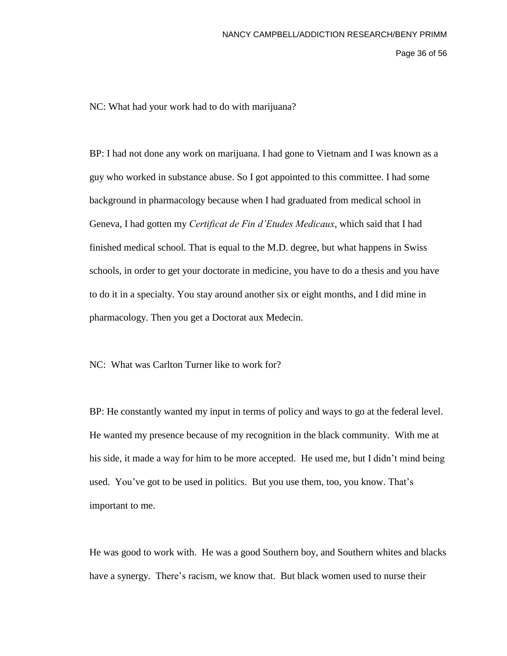Page 36 of 56

NC: What had your work had to do with marijuana?

BP: I had not done any work on marijuana. I had gone to Vietnam and I was known as a guy who worked in substance abuse. So I got appointed to this committee. I had some background in pharmacology because when I had graduated from medical school in Geneva, I had gotten my *Certificat de Fin d'Etudes Medicaux*, which said that I had finished medical school. That is equal to the M.D. degree, but what happens in Swiss schools, in order to get your doctorate in medicine, you have to do a thesis and you have to do it in a specialty. You stay around another six or eight months, and I did mine in pharmacology. Then you get a Doctorat aux Medecin.

NC: What was Carlton Turner like to work for?

BP: He constantly wanted my input in terms of policy and ways to go at the federal level. He wanted my presence because of my recognition in the black community. With me at his side, it made a way for him to be more accepted. He used me, but I didn't mind being used. You've got to be used in politics. But you use them, too, you know. That's important to me.

He was good to work with. He was a good Southern boy, and Southern whites and blacks have a synergy. There's racism, we know that. But black women used to nurse their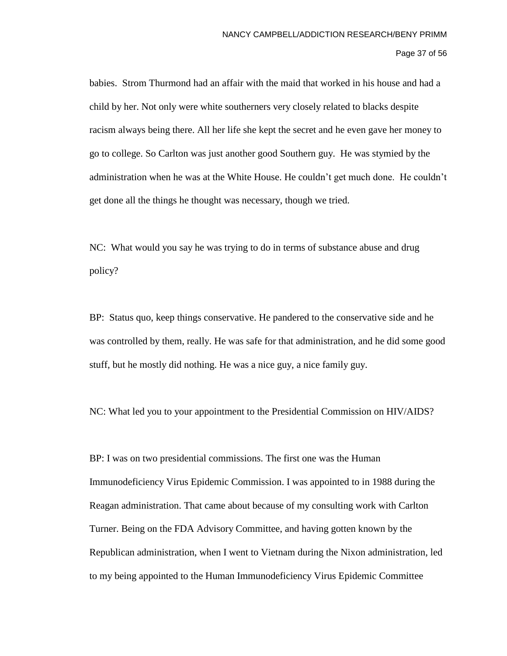babies. Strom Thurmond had an affair with the maid that worked in his house and had a child by her. Not only were white southerners very closely related to blacks despite racism always being there. All her life she kept the secret and he even gave her money to go to college. So Carlton was just another good Southern guy. He was stymied by the administration when he was at the White House. He couldn't get much done. He couldn't get done all the things he thought was necessary, though we tried.

NC: What would you say he was trying to do in terms of substance abuse and drug policy?

BP: Status quo, keep things conservative. He pandered to the conservative side and he was controlled by them, really. He was safe for that administration, and he did some good stuff, but he mostly did nothing. He was a nice guy, a nice family guy.

NC: What led you to your appointment to the Presidential Commission on HIV/AIDS?

BP: I was on two presidential commissions. The first one was the Human Immunodeficiency Virus Epidemic Commission. I was appointed to in 1988 during the Reagan administration. That came about because of my consulting work with Carlton Turner. Being on the FDA Advisory Committee, and having gotten known by the Republican administration, when I went to Vietnam during the Nixon administration, led to my being appointed to the Human Immunodeficiency Virus Epidemic Committee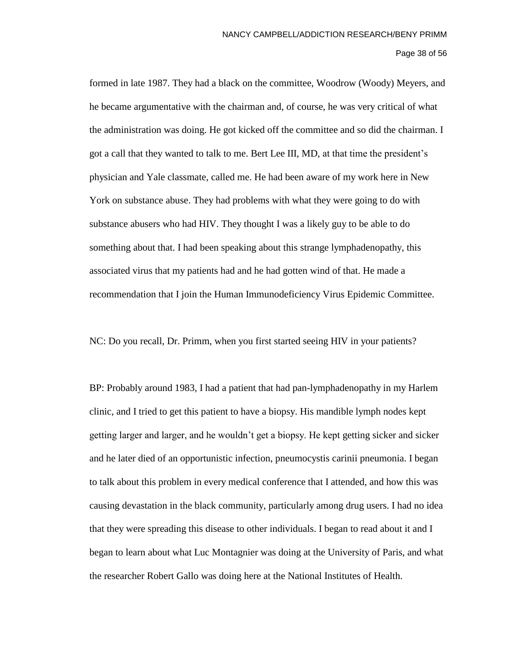formed in late 1987. They had a black on the committee, Woodrow (Woody) Meyers, and he became argumentative with the chairman and, of course, he was very critical of what the administration was doing. He got kicked off the committee and so did the chairman. I got a call that they wanted to talk to me. Bert Lee III, MD, at that time the president's physician and Yale classmate, called me. He had been aware of my work here in New York on substance abuse. They had problems with what they were going to do with substance abusers who had HIV. They thought I was a likely guy to be able to do something about that. I had been speaking about this strange lymphadenopathy, this associated virus that my patients had and he had gotten wind of that. He made a recommendation that I join the Human Immunodeficiency Virus Epidemic Committee.

NC: Do you recall, Dr. Primm, when you first started seeing HIV in your patients?

BP: Probably around 1983, I had a patient that had pan-lymphadenopathy in my Harlem clinic, and I tried to get this patient to have a biopsy. His mandible lymph nodes kept getting larger and larger, and he wouldn't get a biopsy. He kept getting sicker and sicker and he later died of an opportunistic infection, pneumocystis carinii pneumonia. I began to talk about this problem in every medical conference that I attended, and how this was causing devastation in the black community, particularly among drug users. I had no idea that they were spreading this disease to other individuals. I began to read about it and I began to learn about what Luc Montagnier was doing at the University of Paris, and what the researcher Robert Gallo was doing here at the National Institutes of Health.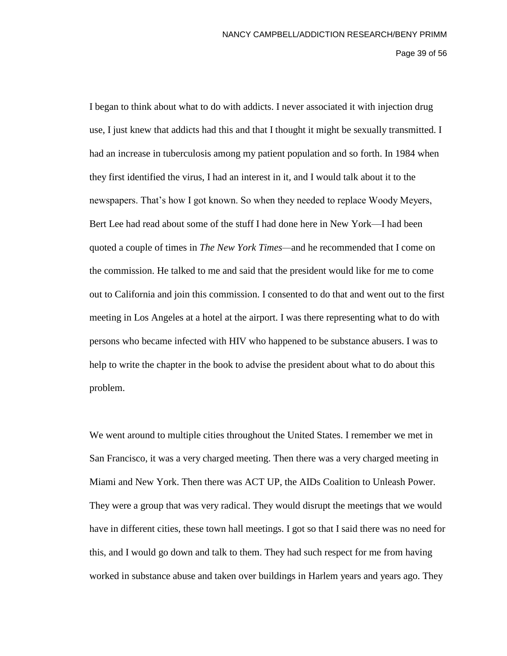Page 39 of 56

I began to think about what to do with addicts. I never associated it with injection drug use, I just knew that addicts had this and that I thought it might be sexually transmitted. I had an increase in tuberculosis among my patient population and so forth. In 1984 when they first identified the virus, I had an interest in it, and I would talk about it to the newspapers. That's how I got known. So when they needed to replace Woody Meyers, Bert Lee had read about some of the stuff I had done here in New York—I had been quoted a couple of times in *The New York Times—*and he recommended that I come on the commission. He talked to me and said that the president would like for me to come out to California and join this commission. I consented to do that and went out to the first meeting in Los Angeles at a hotel at the airport. I was there representing what to do with persons who became infected with HIV who happened to be substance abusers. I was to help to write the chapter in the book to advise the president about what to do about this problem.

We went around to multiple cities throughout the United States. I remember we met in San Francisco, it was a very charged meeting. Then there was a very charged meeting in Miami and New York. Then there was ACT UP, the AIDs Coalition to Unleash Power. They were a group that was very radical. They would disrupt the meetings that we would have in different cities, these town hall meetings. I got so that I said there was no need for this, and I would go down and talk to them. They had such respect for me from having worked in substance abuse and taken over buildings in Harlem years and years ago. They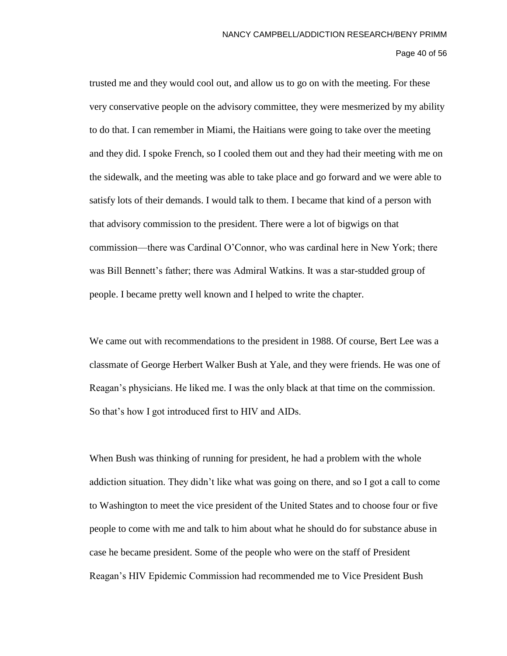Page 40 of 56

trusted me and they would cool out, and allow us to go on with the meeting. For these very conservative people on the advisory committee, they were mesmerized by my ability to do that. I can remember in Miami, the Haitians were going to take over the meeting and they did. I spoke French, so I cooled them out and they had their meeting with me on the sidewalk, and the meeting was able to take place and go forward and we were able to satisfy lots of their demands. I would talk to them. I became that kind of a person with that advisory commission to the president. There were a lot of bigwigs on that commission—there was Cardinal O'Connor, who was cardinal here in New York; there was Bill Bennett's father; there was Admiral Watkins. It was a star-studded group of people. I became pretty well known and I helped to write the chapter.

We came out with recommendations to the president in 1988. Of course, Bert Lee was a classmate of George Herbert Walker Bush at Yale, and they were friends. He was one of Reagan's physicians. He liked me. I was the only black at that time on the commission. So that's how I got introduced first to HIV and AIDs.

When Bush was thinking of running for president, he had a problem with the whole addiction situation. They didn't like what was going on there, and so I got a call to come to Washington to meet the vice president of the United States and to choose four or five people to come with me and talk to him about what he should do for substance abuse in case he became president. Some of the people who were on the staff of President Reagan's HIV Epidemic Commission had recommended me to Vice President Bush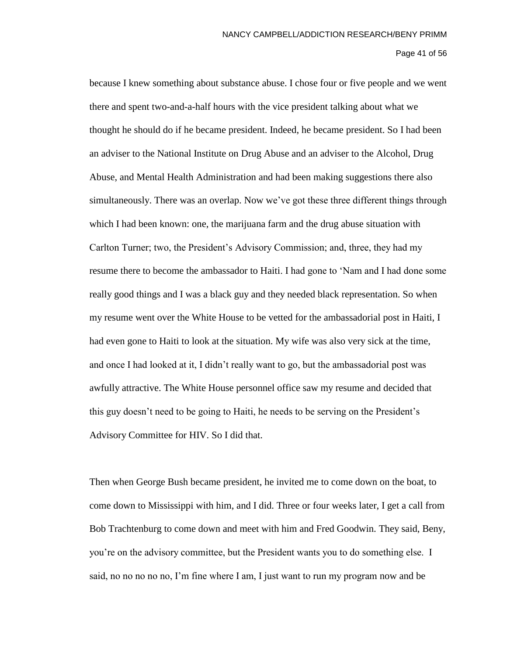## Page 41 of 56

because I knew something about substance abuse. I chose four or five people and we went there and spent two-and-a-half hours with the vice president talking about what we thought he should do if he became president. Indeed, he became president. So I had been an adviser to the National Institute on Drug Abuse and an adviser to the Alcohol, Drug Abuse, and Mental Health Administration and had been making suggestions there also simultaneously. There was an overlap. Now we've got these three different things through which I had been known: one, the marijuana farm and the drug abuse situation with Carlton Turner; two, the President's Advisory Commission; and, three, they had my resume there to become the ambassador to Haiti. I had gone to 'Nam and I had done some really good things and I was a black guy and they needed black representation. So when my resume went over the White House to be vetted for the ambassadorial post in Haiti, I had even gone to Haiti to look at the situation. My wife was also very sick at the time, and once I had looked at it, I didn't really want to go, but the ambassadorial post was awfully attractive. The White House personnel office saw my resume and decided that this guy doesn't need to be going to Haiti, he needs to be serving on the President's Advisory Committee for HIV. So I did that.

Then when George Bush became president, he invited me to come down on the boat, to come down to Mississippi with him, and I did. Three or four weeks later, I get a call from Bob Trachtenburg to come down and meet with him and Fred Goodwin. They said, Beny, you're on the advisory committee, but the President wants you to do something else. I said, no no no no no, I'm fine where I am, I just want to run my program now and be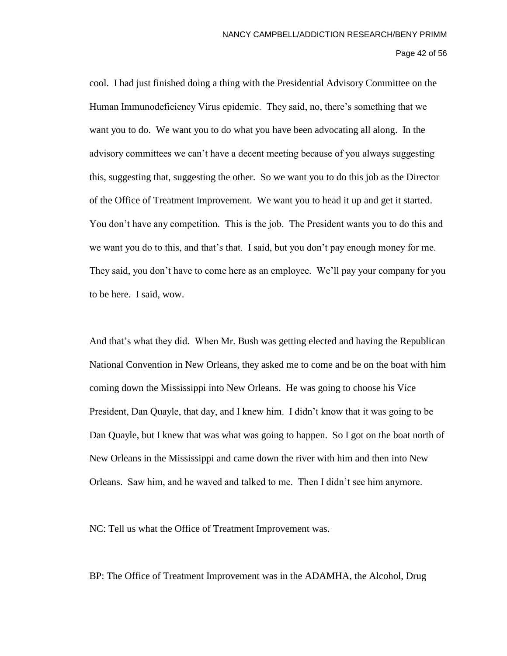### Page 42 of 56

cool. I had just finished doing a thing with the Presidential Advisory Committee on the Human Immunodeficiency Virus epidemic. They said, no, there's something that we want you to do. We want you to do what you have been advocating all along. In the advisory committees we can't have a decent meeting because of you always suggesting this, suggesting that, suggesting the other. So we want you to do this job as the Director of the Office of Treatment Improvement. We want you to head it up and get it started. You don't have any competition. This is the job. The President wants you to do this and we want you do to this, and that's that. I said, but you don't pay enough money for me. They said, you don't have to come here as an employee. We'll pay your company for you to be here. I said, wow.

And that's what they did. When Mr. Bush was getting elected and having the Republican National Convention in New Orleans, they asked me to come and be on the boat with him coming down the Mississippi into New Orleans. He was going to choose his Vice President, Dan Quayle, that day, and I knew him. I didn't know that it was going to be Dan Quayle, but I knew that was what was going to happen. So I got on the boat north of New Orleans in the Mississippi and came down the river with him and then into New Orleans. Saw him, and he waved and talked to me. Then I didn't see him anymore.

NC: Tell us what the Office of Treatment Improvement was.

BP: The Office of Treatment Improvement was in the ADAMHA, the Alcohol, Drug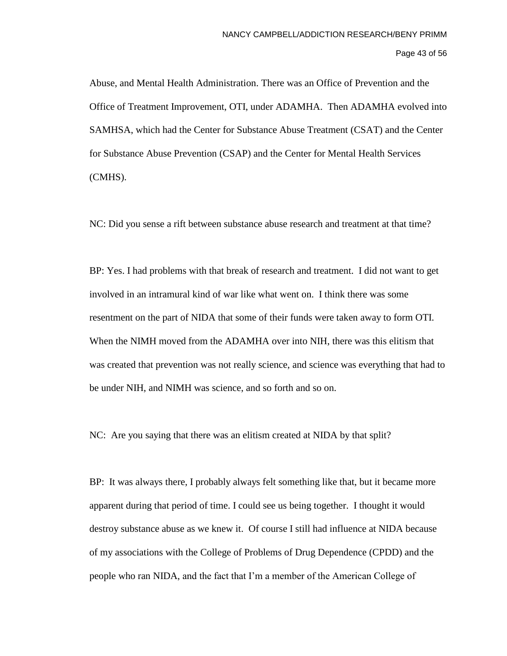Page 43 of 56

Abuse, and Mental Health Administration. There was an Office of Prevention and the Office of Treatment Improvement, OTI, under ADAMHA. Then ADAMHA evolved into SAMHSA, which had the Center for Substance Abuse Treatment (CSAT) and the Center for Substance Abuse Prevention (CSAP) and the Center for Mental Health Services (CMHS).

NC: Did you sense a rift between substance abuse research and treatment at that time?

BP: Yes. I had problems with that break of research and treatment. I did not want to get involved in an intramural kind of war like what went on. I think there was some resentment on the part of NIDA that some of their funds were taken away to form OTI. When the NIMH moved from the ADAMHA over into NIH, there was this elitism that was created that prevention was not really science, and science was everything that had to be under NIH, and NIMH was science, and so forth and so on.

NC: Are you saying that there was an elitism created at NIDA by that split?

BP: It was always there, I probably always felt something like that, but it became more apparent during that period of time. I could see us being together. I thought it would destroy substance abuse as we knew it. Of course I still had influence at NIDA because of my associations with the College of Problems of Drug Dependence (CPDD) and the people who ran NIDA, and the fact that I'm a member of the American College of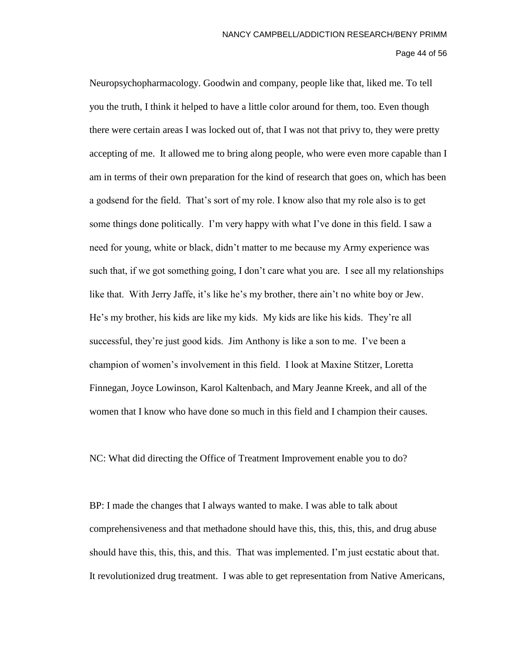Page 44 of 56

Neuropsychopharmacology. Goodwin and company, people like that, liked me. To tell you the truth, I think it helped to have a little color around for them, too. Even though there were certain areas I was locked out of, that I was not that privy to, they were pretty accepting of me. It allowed me to bring along people, who were even more capable than I am in terms of their own preparation for the kind of research that goes on, which has been a godsend for the field. That's sort of my role. I know also that my role also is to get some things done politically. I'm very happy with what I've done in this field. I saw a need for young, white or black, didn't matter to me because my Army experience was such that, if we got something going, I don't care what you are. I see all my relationships like that. With Jerry Jaffe, it's like he's my brother, there ain't no white boy or Jew. He's my brother, his kids are like my kids. My kids are like his kids. They're all successful, they're just good kids. Jim Anthony is like a son to me. I've been a champion of women's involvement in this field. I look at Maxine Stitzer, Loretta Finnegan, Joyce Lowinson, Karol Kaltenbach, and Mary Jeanne Kreek, and all of the women that I know who have done so much in this field and I champion their causes.

NC: What did directing the Office of Treatment Improvement enable you to do?

BP: I made the changes that I always wanted to make. I was able to talk about comprehensiveness and that methadone should have this, this, this, this, and drug abuse should have this, this, this, and this. That was implemented. I'm just ecstatic about that. It revolutionized drug treatment. I was able to get representation from Native Americans,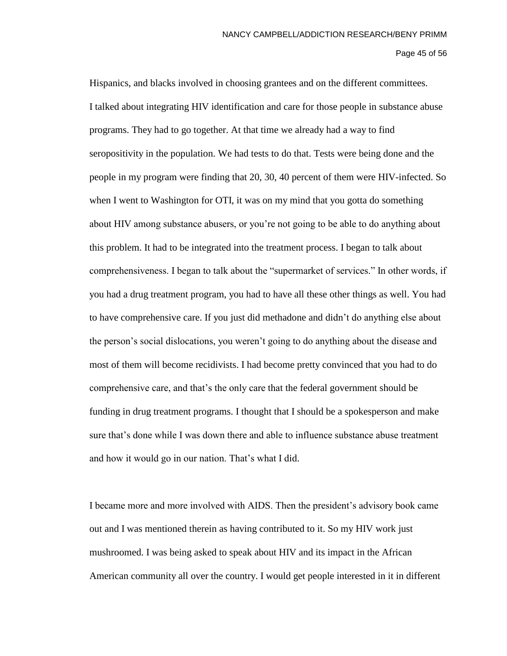## Page 45 of 56

Hispanics, and blacks involved in choosing grantees and on the different committees. I talked about integrating HIV identification and care for those people in substance abuse programs. They had to go together. At that time we already had a way to find seropositivity in the population. We had tests to do that. Tests were being done and the people in my program were finding that 20, 30, 40 percent of them were HIV-infected. So when I went to Washington for OTI, it was on my mind that you gotta do something about HIV among substance abusers, or you're not going to be able to do anything about this problem. It had to be integrated into the treatment process. I began to talk about comprehensiveness. I began to talk about the "supermarket of services." In other words, if you had a drug treatment program, you had to have all these other things as well. You had to have comprehensive care. If you just did methadone and didn't do anything else about the person's social dislocations, you weren't going to do anything about the disease and most of them will become recidivists. I had become pretty convinced that you had to do comprehensive care, and that's the only care that the federal government should be funding in drug treatment programs. I thought that I should be a spokesperson and make sure that's done while I was down there and able to influence substance abuse treatment and how it would go in our nation. That's what I did.

I became more and more involved with AIDS. Then the president's advisory book came out and I was mentioned therein as having contributed to it. So my HIV work just mushroomed. I was being asked to speak about HIV and its impact in the African American community all over the country. I would get people interested in it in different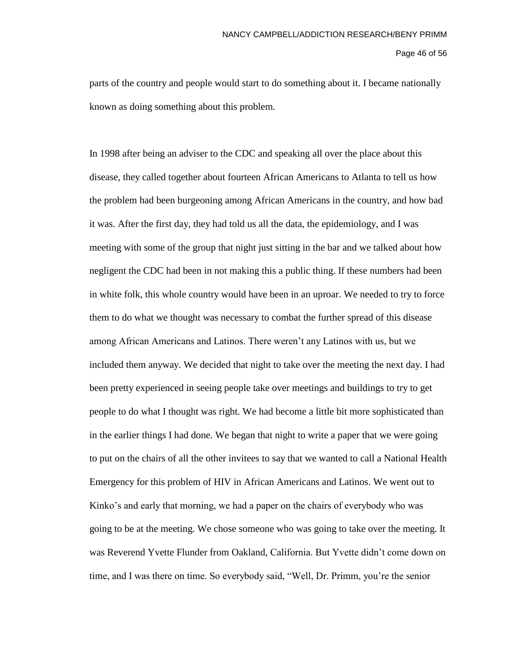## Page 46 of 56

parts of the country and people would start to do something about it. I became nationally known as doing something about this problem.

In 1998 after being an adviser to the CDC and speaking all over the place about this disease, they called together about fourteen African Americans to Atlanta to tell us how the problem had been burgeoning among African Americans in the country, and how bad it was. After the first day, they had told us all the data, the epidemiology, and I was meeting with some of the group that night just sitting in the bar and we talked about how negligent the CDC had been in not making this a public thing. If these numbers had been in white folk, this whole country would have been in an uproar. We needed to try to force them to do what we thought was necessary to combat the further spread of this disease among African Americans and Latinos. There weren't any Latinos with us, but we included them anyway. We decided that night to take over the meeting the next day. I had been pretty experienced in seeing people take over meetings and buildings to try to get people to do what I thought was right. We had become a little bit more sophisticated than in the earlier things I had done. We began that night to write a paper that we were going to put on the chairs of all the other invitees to say that we wanted to call a National Health Emergency for this problem of HIV in African Americans and Latinos. We went out to Kinko's and early that morning, we had a paper on the chairs of everybody who was going to be at the meeting. We chose someone who was going to take over the meeting. It was Reverend Yvette Flunder from Oakland, California. But Yvette didn't come down on time, and I was there on time. So everybody said, "Well, Dr. Primm, you're the senior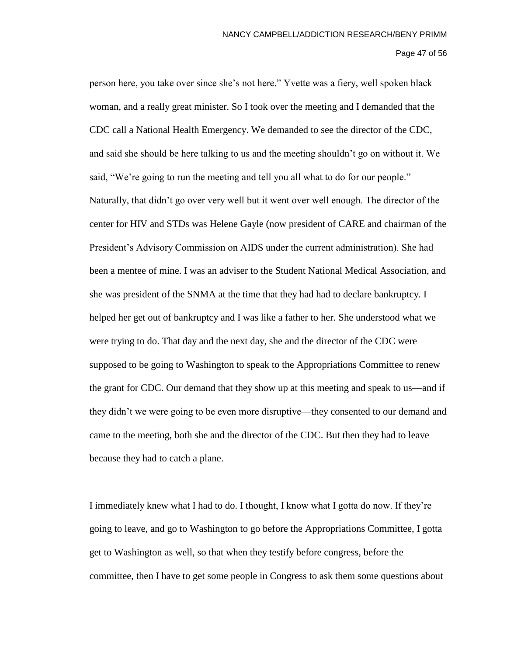Page 47 of 56

person here, you take over since she's not here." Yvette was a fiery, well spoken black woman, and a really great minister. So I took over the meeting and I demanded that the CDC call a National Health Emergency. We demanded to see the director of the CDC, and said she should be here talking to us and the meeting shouldn't go on without it. We said, "We're going to run the meeting and tell you all what to do for our people." Naturally, that didn't go over very well but it went over well enough. The director of the center for HIV and STDs was Helene Gayle (now president of CARE and chairman of the President's Advisory Commission on AIDS under the current administration). She had been a mentee of mine. I was an adviser to the Student National Medical Association, and she was president of the SNMA at the time that they had had to declare bankruptcy. I helped her get out of bankruptcy and I was like a father to her. She understood what we were trying to do. That day and the next day, she and the director of the CDC were supposed to be going to Washington to speak to the Appropriations Committee to renew the grant for CDC. Our demand that they show up at this meeting and speak to us—and if they didn't we were going to be even more disruptive—they consented to our demand and came to the meeting, both she and the director of the CDC. But then they had to leave because they had to catch a plane.

I immediately knew what I had to do. I thought, I know what I gotta do now. If they're going to leave, and go to Washington to go before the Appropriations Committee, I gotta get to Washington as well, so that when they testify before congress, before the committee, then I have to get some people in Congress to ask them some questions about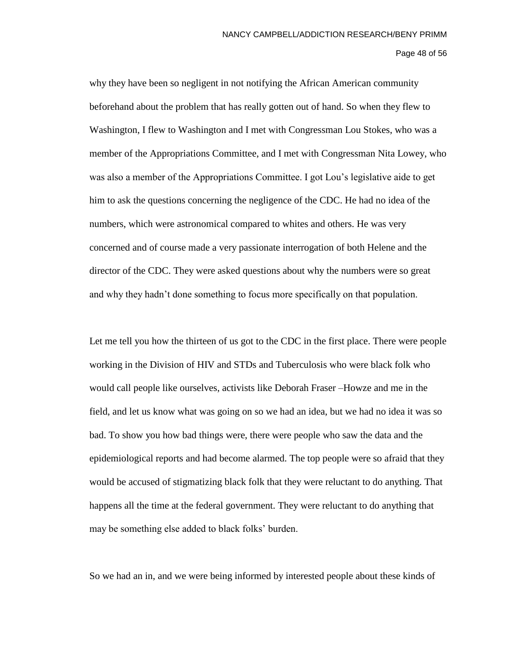Page 48 of 56

why they have been so negligent in not notifying the African American community beforehand about the problem that has really gotten out of hand. So when they flew to Washington, I flew to Washington and I met with Congressman Lou Stokes, who was a member of the Appropriations Committee, and I met with Congressman Nita Lowey, who was also a member of the Appropriations Committee. I got Lou's legislative aide to get him to ask the questions concerning the negligence of the CDC. He had no idea of the numbers, which were astronomical compared to whites and others. He was very concerned and of course made a very passionate interrogation of both Helene and the director of the CDC. They were asked questions about why the numbers were so great and why they hadn't done something to focus more specifically on that population.

Let me tell you how the thirteen of us got to the CDC in the first place. There were people working in the Division of HIV and STDs and Tuberculosis who were black folk who would call people like ourselves, activists like Deborah Fraser –Howze and me in the field, and let us know what was going on so we had an idea, but we had no idea it was so bad. To show you how bad things were, there were people who saw the data and the epidemiological reports and had become alarmed. The top people were so afraid that they would be accused of stigmatizing black folk that they were reluctant to do anything. That happens all the time at the federal government. They were reluctant to do anything that may be something else added to black folks' burden.

So we had an in, and we were being informed by interested people about these kinds of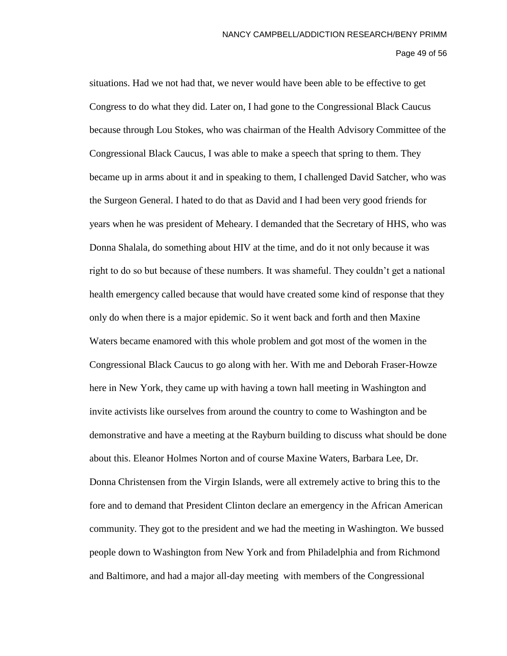# Page 49 of 56

situations. Had we not had that, we never would have been able to be effective to get Congress to do what they did. Later on, I had gone to the Congressional Black Caucus because through Lou Stokes, who was chairman of the Health Advisory Committee of the Congressional Black Caucus, I was able to make a speech that spring to them. They became up in arms about it and in speaking to them, I challenged David Satcher, who was the Surgeon General. I hated to do that as David and I had been very good friends for years when he was president of Meheary. I demanded that the Secretary of HHS, who was Donna Shalala, do something about HIV at the time, and do it not only because it was right to do so but because of these numbers. It was shameful. They couldn't get a national health emergency called because that would have created some kind of response that they only do when there is a major epidemic. So it went back and forth and then Maxine Waters became enamored with this whole problem and got most of the women in the Congressional Black Caucus to go along with her. With me and Deborah Fraser-Howze here in New York, they came up with having a town hall meeting in Washington and invite activists like ourselves from around the country to come to Washington and be demonstrative and have a meeting at the Rayburn building to discuss what should be done about this. Eleanor Holmes Norton and of course Maxine Waters, Barbara Lee, Dr. Donna Christensen from the Virgin Islands, were all extremely active to bring this to the fore and to demand that President Clinton declare an emergency in the African American community. They got to the president and we had the meeting in Washington. We bussed people down to Washington from New York and from Philadelphia and from Richmond and Baltimore, and had a major all-day meeting with members of the Congressional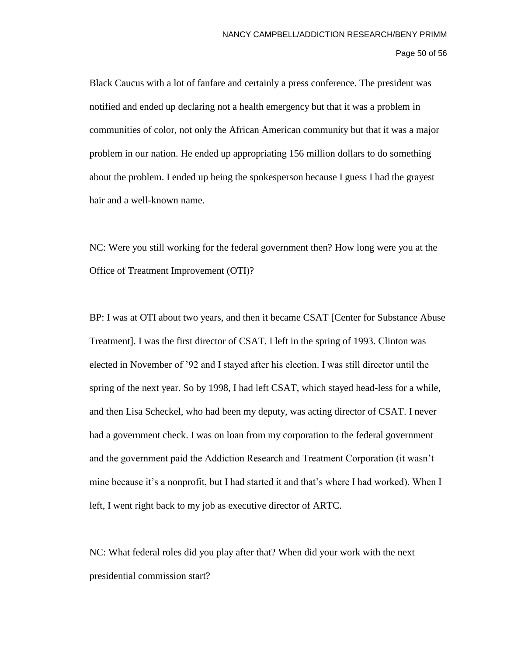Page 50 of 56

Black Caucus with a lot of fanfare and certainly a press conference. The president was notified and ended up declaring not a health emergency but that it was a problem in communities of color, not only the African American community but that it was a major problem in our nation. He ended up appropriating 156 million dollars to do something about the problem. I ended up being the spokesperson because I guess I had the grayest hair and a well-known name.

NC: Were you still working for the federal government then? How long were you at the Office of Treatment Improvement (OTI)?

BP: I was at OTI about two years, and then it became CSAT [Center for Substance Abuse Treatment]. I was the first director of CSAT. I left in the spring of 1993. Clinton was elected in November of '92 and I stayed after his election. I was still director until the spring of the next year. So by 1998, I had left CSAT, which stayed head-less for a while, and then Lisa Scheckel, who had been my deputy, was acting director of CSAT. I never had a government check. I was on loan from my corporation to the federal government and the government paid the Addiction Research and Treatment Corporation (it wasn't mine because it's a nonprofit, but I had started it and that's where I had worked). When I left, I went right back to my job as executive director of ARTC.

NC: What federal roles did you play after that? When did your work with the next presidential commission start?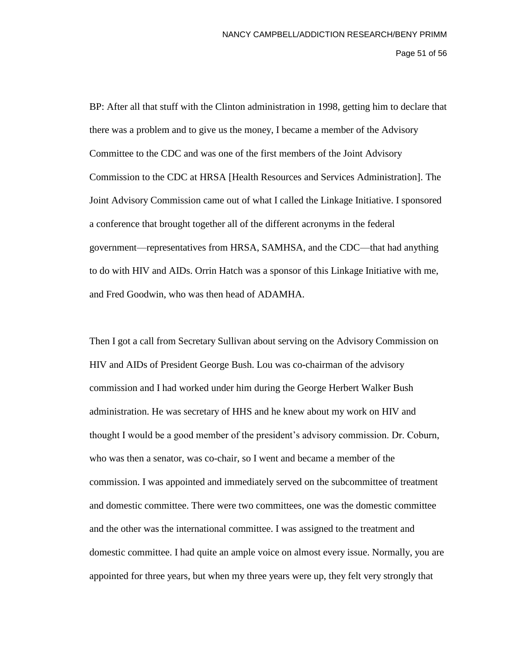Page 51 of 56

BP: After all that stuff with the Clinton administration in 1998, getting him to declare that there was a problem and to give us the money, I became a member of the Advisory Committee to the CDC and was one of the first members of the Joint Advisory Commission to the CDC at HRSA [Health Resources and Services Administration]. The Joint Advisory Commission came out of what I called the Linkage Initiative. I sponsored a conference that brought together all of the different acronyms in the federal government—representatives from HRSA, SAMHSA, and the CDC—that had anything to do with HIV and AIDs. Orrin Hatch was a sponsor of this Linkage Initiative with me, and Fred Goodwin, who was then head of ADAMHA.

Then I got a call from Secretary Sullivan about serving on the Advisory Commission on HIV and AIDs of President George Bush. Lou was co-chairman of the advisory commission and I had worked under him during the George Herbert Walker Bush administration. He was secretary of HHS and he knew about my work on HIV and thought I would be a good member of the president's advisory commission. Dr. Coburn, who was then a senator, was co-chair, so I went and became a member of the commission. I was appointed and immediately served on the subcommittee of treatment and domestic committee. There were two committees, one was the domestic committee and the other was the international committee. I was assigned to the treatment and domestic committee. I had quite an ample voice on almost every issue. Normally, you are appointed for three years, but when my three years were up, they felt very strongly that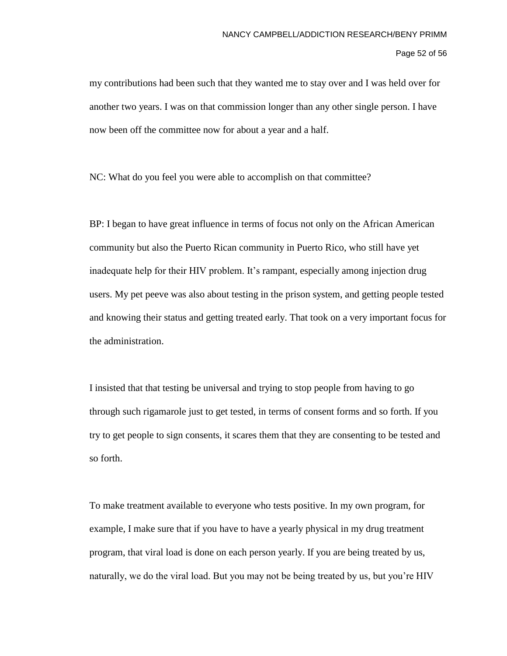Page 52 of 56

my contributions had been such that they wanted me to stay over and I was held over for another two years. I was on that commission longer than any other single person. I have now been off the committee now for about a year and a half.

NC: What do you feel you were able to accomplish on that committee?

BP: I began to have great influence in terms of focus not only on the African American community but also the Puerto Rican community in Puerto Rico, who still have yet inadequate help for their HIV problem. It's rampant, especially among injection drug users. My pet peeve was also about testing in the prison system, and getting people tested and knowing their status and getting treated early. That took on a very important focus for the administration.

I insisted that that testing be universal and trying to stop people from having to go through such rigamarole just to get tested, in terms of consent forms and so forth. If you try to get people to sign consents, it scares them that they are consenting to be tested and so forth.

To make treatment available to everyone who tests positive. In my own program, for example, I make sure that if you have to have a yearly physical in my drug treatment program, that viral load is done on each person yearly. If you are being treated by us, naturally, we do the viral load. But you may not be being treated by us, but you're HIV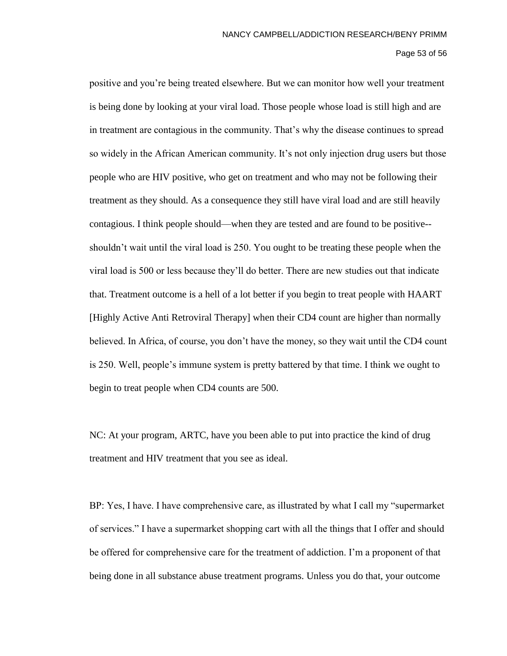#### Page 53 of 56

positive and you're being treated elsewhere. But we can monitor how well your treatment is being done by looking at your viral load. Those people whose load is still high and are in treatment are contagious in the community. That's why the disease continues to spread so widely in the African American community. It's not only injection drug users but those people who are HIV positive, who get on treatment and who may not be following their treatment as they should. As a consequence they still have viral load and are still heavily contagious. I think people should—when they are tested and are found to be positive- shouldn't wait until the viral load is 250. You ought to be treating these people when the viral load is 500 or less because they'll do better. There are new studies out that indicate that. Treatment outcome is a hell of a lot better if you begin to treat people with HAART [Highly Active Anti Retroviral Therapy] when their CD4 count are higher than normally believed. In Africa, of course, you don't have the money, so they wait until the CD4 count is 250. Well, people's immune system is pretty battered by that time. I think we ought to begin to treat people when CD4 counts are 500.

NC: At your program, ARTC, have you been able to put into practice the kind of drug treatment and HIV treatment that you see as ideal.

BP: Yes, I have. I have comprehensive care, as illustrated by what I call my "supermarket of services." I have a supermarket shopping cart with all the things that I offer and should be offered for comprehensive care for the treatment of addiction. I'm a proponent of that being done in all substance abuse treatment programs. Unless you do that, your outcome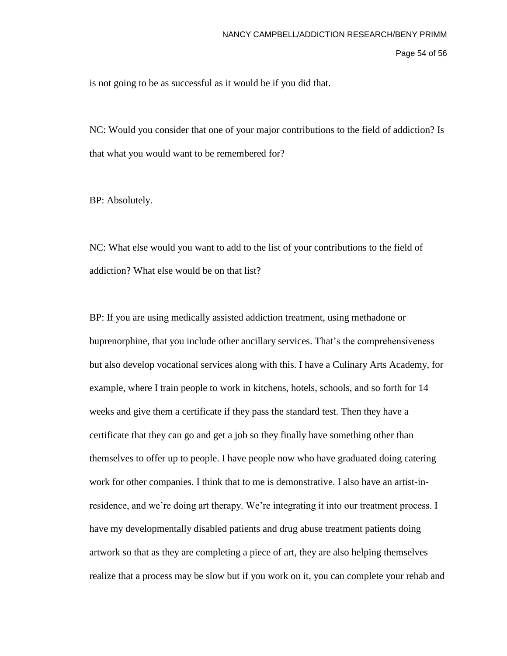Page 54 of 56

is not going to be as successful as it would be if you did that.

NC: Would you consider that one of your major contributions to the field of addiction? Is that what you would want to be remembered for?

BP: Absolutely.

NC: What else would you want to add to the list of your contributions to the field of addiction? What else would be on that list?

BP: If you are using medically assisted addiction treatment, using methadone or buprenorphine, that you include other ancillary services. That's the comprehensiveness but also develop vocational services along with this. I have a Culinary Arts Academy, for example, where I train people to work in kitchens, hotels, schools, and so forth for 14 weeks and give them a certificate if they pass the standard test. Then they have a certificate that they can go and get a job so they finally have something other than themselves to offer up to people. I have people now who have graduated doing catering work for other companies. I think that to me is demonstrative. I also have an artist-inresidence, and we're doing art therapy. We're integrating it into our treatment process. I have my developmentally disabled patients and drug abuse treatment patients doing artwork so that as they are completing a piece of art, they are also helping themselves realize that a process may be slow but if you work on it, you can complete your rehab and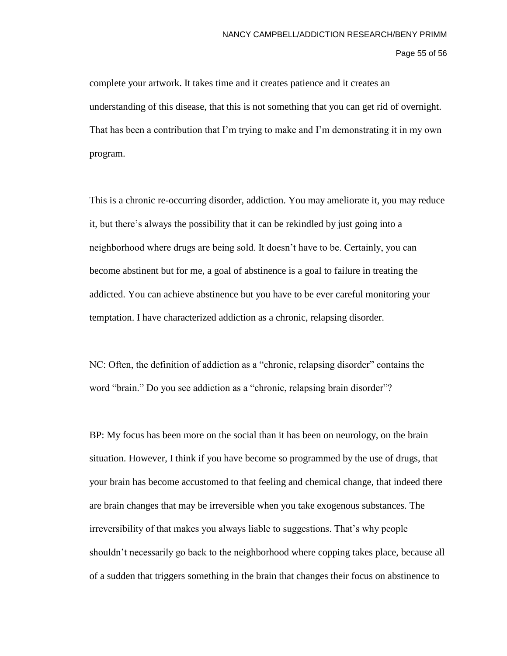Page 55 of 56

complete your artwork. It takes time and it creates patience and it creates an understanding of this disease, that this is not something that you can get rid of overnight. That has been a contribution that I'm trying to make and I'm demonstrating it in my own program.

This is a chronic re-occurring disorder, addiction. You may ameliorate it, you may reduce it, but there's always the possibility that it can be rekindled by just going into a neighborhood where drugs are being sold. It doesn't have to be. Certainly, you can become abstinent but for me, a goal of abstinence is a goal to failure in treating the addicted. You can achieve abstinence but you have to be ever careful monitoring your temptation. I have characterized addiction as a chronic, relapsing disorder.

NC: Often, the definition of addiction as a "chronic, relapsing disorder" contains the word "brain." Do you see addiction as a "chronic, relapsing brain disorder"?

BP: My focus has been more on the social than it has been on neurology, on the brain situation. However, I think if you have become so programmed by the use of drugs, that your brain has become accustomed to that feeling and chemical change, that indeed there are brain changes that may be irreversible when you take exogenous substances. The irreversibility of that makes you always liable to suggestions. That's why people shouldn't necessarily go back to the neighborhood where copping takes place, because all of a sudden that triggers something in the brain that changes their focus on abstinence to